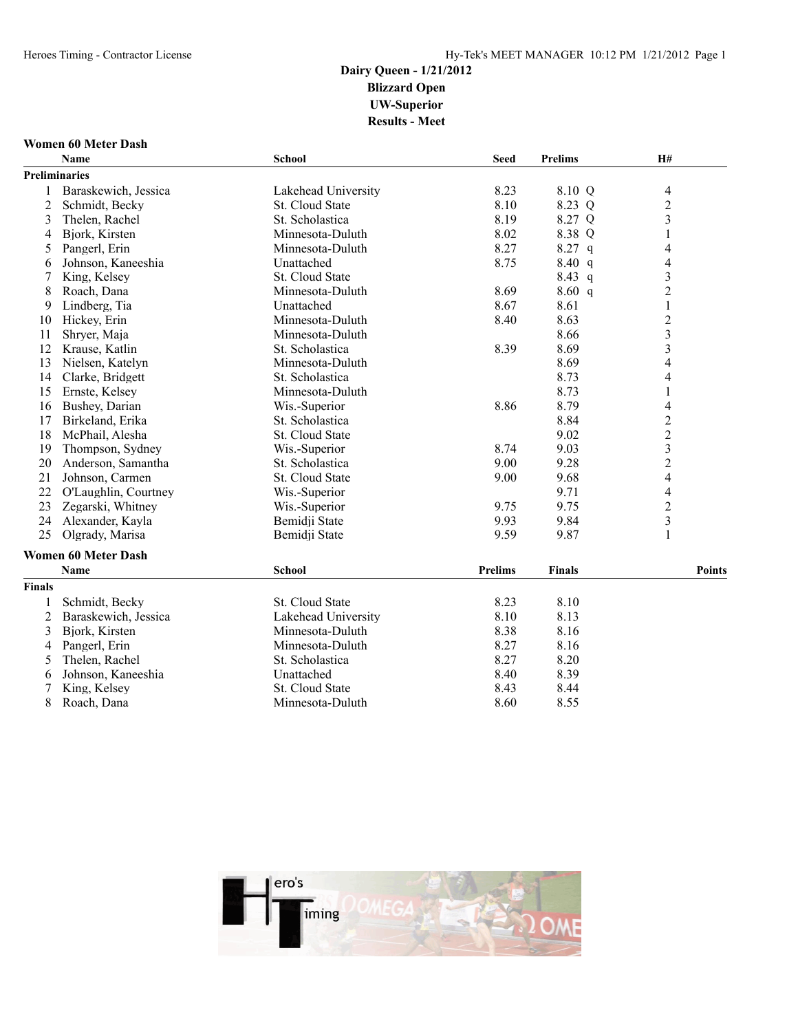### **Women 60 Meter Dash**

| <b>Preliminaries</b><br>Baraskewich, Jessica<br>Lakehead University<br>8.23<br>8.10 Q<br>$\overline{\mathcal{L}}$<br>$\overline{c}$<br>$\overline{2}$<br>8.10<br>8.23 Q<br>Schmidt, Becky<br>St. Cloud State<br>8.19<br>8.27 Q<br>$\mathfrak{Z}$<br>3<br>Thelen, Rachel<br>St. Scholastica<br>8.02<br>Bjork, Kirsten<br>8.38 Q<br>Minnesota-Duluth<br>1<br>4<br>8.27<br>8.27 q<br>Pangerl, Erin<br>Minnesota-Duluth<br>$\overline{\mathcal{L}}$<br>5<br>8.75<br>8.40 q<br>$\overline{\mathcal{L}}$<br>Johnson, Kaneeshia<br>Unattached<br>6<br>8.43 q<br>$\mathfrak{Z}$<br>7<br>St. Cloud State<br>King, Kelsey<br>$\overline{2}$<br>8.69<br>8.60 q<br>8<br>Roach, Dana<br>Minnesota-Duluth<br>Lindberg, Tia<br>Unattached<br>8.67<br>1<br>9<br>8.61<br>$\overline{c}$<br>Minnesota-Duluth<br>8.40<br>8.63<br>Hickey, Erin<br>10<br>$\overline{\mathbf{3}}$<br>Shryer, Maja<br>Minnesota-Duluth<br>8.66<br>11<br>$\overline{\mathbf{3}}$<br>12<br>8.39<br>8.69<br>Krause, Katlin<br>St. Scholastica<br>$\overline{4}$<br>8.69<br>13<br>Nielsen, Katelyn<br>Minnesota-Duluth<br>$\overline{4}$<br>8.73<br>14<br>Clarke, Bridgett<br>St. Scholastica<br>Minnesota-Duluth<br>8.73<br>$\mathbf{1}$<br>15<br>Ernste, Kelsey<br>8.86<br>8.79<br>$\overline{\mathcal{L}}$<br>Bushey, Darian<br>Wis.-Superior<br>16<br>$\overline{\mathbf{c}}$<br>8.84<br>17<br>Birkeland, Erika<br>St. Scholastica<br>$\overline{c}$<br>9.02<br>18<br>McPhail, Alesha<br>St. Cloud State<br>3<br>9.03<br>19<br>Thompson, Sydney<br>Wis.-Superior<br>8.74<br>$\overline{c}$<br>20<br>Anderson, Samantha<br>9.00<br>9.28<br>St. Scholastica<br>$\overline{4}$<br>21<br>St. Cloud State<br>9.00<br>9.68<br>Johnson, Carmen<br>22<br>9.71<br>$\overline{\mathcal{L}}$<br>O'Laughlin, Courtney<br>Wis.-Superior<br>$\overline{c}$<br>9.75<br>23<br>Zegarski, Whitney<br>Wis.-Superior<br>9.75<br>$\overline{\mathbf{3}}$<br>9.93<br>9.84<br>24<br>Alexander, Kayla<br>Bemidji State<br>$\mathbf{1}$<br>25<br>9.59<br>9.87<br>Olgrady, Marisa<br>Bemidji State<br><b>Women 60 Meter Dash</b><br><b>Prelims</b><br><b>School</b><br><b>Finals</b><br>Name<br><b>Points</b><br><b>Finals</b><br>St. Cloud State<br>8.23<br>8.10<br>Schmidt, Becky<br>1<br>8.10<br>2<br>Lakehead University<br>8.13<br>Baraskewich, Jessica<br>3<br>8.38<br>8.16<br>Minnesota-Duluth<br>Bjork, Kirsten<br>8.27<br>Pangerl, Erin<br>Minnesota-Duluth<br>8.16<br>4<br>8.27<br>Thelen, Rachel<br>St. Scholastica<br>8.20<br>5<br>8.40<br>8.39<br>Johnson, Kaneeshia<br>Unattached<br>6<br>7<br>8.43<br>King, Kelsey<br>St. Cloud State<br>8.44<br>8<br>8.60<br>8.55<br>Roach, Dana<br>Minnesota-Duluth | <b>Name</b> | <b>School</b> | <b>Seed</b> | <b>Prelims</b> | H# |  |
|-----------------------------------------------------------------------------------------------------------------------------------------------------------------------------------------------------------------------------------------------------------------------------------------------------------------------------------------------------------------------------------------------------------------------------------------------------------------------------------------------------------------------------------------------------------------------------------------------------------------------------------------------------------------------------------------------------------------------------------------------------------------------------------------------------------------------------------------------------------------------------------------------------------------------------------------------------------------------------------------------------------------------------------------------------------------------------------------------------------------------------------------------------------------------------------------------------------------------------------------------------------------------------------------------------------------------------------------------------------------------------------------------------------------------------------------------------------------------------------------------------------------------------------------------------------------------------------------------------------------------------------------------------------------------------------------------------------------------------------------------------------------------------------------------------------------------------------------------------------------------------------------------------------------------------------------------------------------------------------------------------------------------------------------------------------------------------------------------------------------------------------------------------------------------------------------------------------------------------------------------------------------------------------------------------------------------------------------------------------------------------------------------------------------------------------------------------------------------------------------------------------------------------------------------------------------------------------------------------------------------------------------------------|-------------|---------------|-------------|----------------|----|--|
|                                                                                                                                                                                                                                                                                                                                                                                                                                                                                                                                                                                                                                                                                                                                                                                                                                                                                                                                                                                                                                                                                                                                                                                                                                                                                                                                                                                                                                                                                                                                                                                                                                                                                                                                                                                                                                                                                                                                                                                                                                                                                                                                                                                                                                                                                                                                                                                                                                                                                                                                                                                                                                                     |             |               |             |                |    |  |
|                                                                                                                                                                                                                                                                                                                                                                                                                                                                                                                                                                                                                                                                                                                                                                                                                                                                                                                                                                                                                                                                                                                                                                                                                                                                                                                                                                                                                                                                                                                                                                                                                                                                                                                                                                                                                                                                                                                                                                                                                                                                                                                                                                                                                                                                                                                                                                                                                                                                                                                                                                                                                                                     |             |               |             |                |    |  |
|                                                                                                                                                                                                                                                                                                                                                                                                                                                                                                                                                                                                                                                                                                                                                                                                                                                                                                                                                                                                                                                                                                                                                                                                                                                                                                                                                                                                                                                                                                                                                                                                                                                                                                                                                                                                                                                                                                                                                                                                                                                                                                                                                                                                                                                                                                                                                                                                                                                                                                                                                                                                                                                     |             |               |             |                |    |  |
|                                                                                                                                                                                                                                                                                                                                                                                                                                                                                                                                                                                                                                                                                                                                                                                                                                                                                                                                                                                                                                                                                                                                                                                                                                                                                                                                                                                                                                                                                                                                                                                                                                                                                                                                                                                                                                                                                                                                                                                                                                                                                                                                                                                                                                                                                                                                                                                                                                                                                                                                                                                                                                                     |             |               |             |                |    |  |
|                                                                                                                                                                                                                                                                                                                                                                                                                                                                                                                                                                                                                                                                                                                                                                                                                                                                                                                                                                                                                                                                                                                                                                                                                                                                                                                                                                                                                                                                                                                                                                                                                                                                                                                                                                                                                                                                                                                                                                                                                                                                                                                                                                                                                                                                                                                                                                                                                                                                                                                                                                                                                                                     |             |               |             |                |    |  |
|                                                                                                                                                                                                                                                                                                                                                                                                                                                                                                                                                                                                                                                                                                                                                                                                                                                                                                                                                                                                                                                                                                                                                                                                                                                                                                                                                                                                                                                                                                                                                                                                                                                                                                                                                                                                                                                                                                                                                                                                                                                                                                                                                                                                                                                                                                                                                                                                                                                                                                                                                                                                                                                     |             |               |             |                |    |  |
|                                                                                                                                                                                                                                                                                                                                                                                                                                                                                                                                                                                                                                                                                                                                                                                                                                                                                                                                                                                                                                                                                                                                                                                                                                                                                                                                                                                                                                                                                                                                                                                                                                                                                                                                                                                                                                                                                                                                                                                                                                                                                                                                                                                                                                                                                                                                                                                                                                                                                                                                                                                                                                                     |             |               |             |                |    |  |
|                                                                                                                                                                                                                                                                                                                                                                                                                                                                                                                                                                                                                                                                                                                                                                                                                                                                                                                                                                                                                                                                                                                                                                                                                                                                                                                                                                                                                                                                                                                                                                                                                                                                                                                                                                                                                                                                                                                                                                                                                                                                                                                                                                                                                                                                                                                                                                                                                                                                                                                                                                                                                                                     |             |               |             |                |    |  |
|                                                                                                                                                                                                                                                                                                                                                                                                                                                                                                                                                                                                                                                                                                                                                                                                                                                                                                                                                                                                                                                                                                                                                                                                                                                                                                                                                                                                                                                                                                                                                                                                                                                                                                                                                                                                                                                                                                                                                                                                                                                                                                                                                                                                                                                                                                                                                                                                                                                                                                                                                                                                                                                     |             |               |             |                |    |  |
|                                                                                                                                                                                                                                                                                                                                                                                                                                                                                                                                                                                                                                                                                                                                                                                                                                                                                                                                                                                                                                                                                                                                                                                                                                                                                                                                                                                                                                                                                                                                                                                                                                                                                                                                                                                                                                                                                                                                                                                                                                                                                                                                                                                                                                                                                                                                                                                                                                                                                                                                                                                                                                                     |             |               |             |                |    |  |
|                                                                                                                                                                                                                                                                                                                                                                                                                                                                                                                                                                                                                                                                                                                                                                                                                                                                                                                                                                                                                                                                                                                                                                                                                                                                                                                                                                                                                                                                                                                                                                                                                                                                                                                                                                                                                                                                                                                                                                                                                                                                                                                                                                                                                                                                                                                                                                                                                                                                                                                                                                                                                                                     |             |               |             |                |    |  |
|                                                                                                                                                                                                                                                                                                                                                                                                                                                                                                                                                                                                                                                                                                                                                                                                                                                                                                                                                                                                                                                                                                                                                                                                                                                                                                                                                                                                                                                                                                                                                                                                                                                                                                                                                                                                                                                                                                                                                                                                                                                                                                                                                                                                                                                                                                                                                                                                                                                                                                                                                                                                                                                     |             |               |             |                |    |  |
|                                                                                                                                                                                                                                                                                                                                                                                                                                                                                                                                                                                                                                                                                                                                                                                                                                                                                                                                                                                                                                                                                                                                                                                                                                                                                                                                                                                                                                                                                                                                                                                                                                                                                                                                                                                                                                                                                                                                                                                                                                                                                                                                                                                                                                                                                                                                                                                                                                                                                                                                                                                                                                                     |             |               |             |                |    |  |
|                                                                                                                                                                                                                                                                                                                                                                                                                                                                                                                                                                                                                                                                                                                                                                                                                                                                                                                                                                                                                                                                                                                                                                                                                                                                                                                                                                                                                                                                                                                                                                                                                                                                                                                                                                                                                                                                                                                                                                                                                                                                                                                                                                                                                                                                                                                                                                                                                                                                                                                                                                                                                                                     |             |               |             |                |    |  |
|                                                                                                                                                                                                                                                                                                                                                                                                                                                                                                                                                                                                                                                                                                                                                                                                                                                                                                                                                                                                                                                                                                                                                                                                                                                                                                                                                                                                                                                                                                                                                                                                                                                                                                                                                                                                                                                                                                                                                                                                                                                                                                                                                                                                                                                                                                                                                                                                                                                                                                                                                                                                                                                     |             |               |             |                |    |  |
|                                                                                                                                                                                                                                                                                                                                                                                                                                                                                                                                                                                                                                                                                                                                                                                                                                                                                                                                                                                                                                                                                                                                                                                                                                                                                                                                                                                                                                                                                                                                                                                                                                                                                                                                                                                                                                                                                                                                                                                                                                                                                                                                                                                                                                                                                                                                                                                                                                                                                                                                                                                                                                                     |             |               |             |                |    |  |
|                                                                                                                                                                                                                                                                                                                                                                                                                                                                                                                                                                                                                                                                                                                                                                                                                                                                                                                                                                                                                                                                                                                                                                                                                                                                                                                                                                                                                                                                                                                                                                                                                                                                                                                                                                                                                                                                                                                                                                                                                                                                                                                                                                                                                                                                                                                                                                                                                                                                                                                                                                                                                                                     |             |               |             |                |    |  |
|                                                                                                                                                                                                                                                                                                                                                                                                                                                                                                                                                                                                                                                                                                                                                                                                                                                                                                                                                                                                                                                                                                                                                                                                                                                                                                                                                                                                                                                                                                                                                                                                                                                                                                                                                                                                                                                                                                                                                                                                                                                                                                                                                                                                                                                                                                                                                                                                                                                                                                                                                                                                                                                     |             |               |             |                |    |  |
|                                                                                                                                                                                                                                                                                                                                                                                                                                                                                                                                                                                                                                                                                                                                                                                                                                                                                                                                                                                                                                                                                                                                                                                                                                                                                                                                                                                                                                                                                                                                                                                                                                                                                                                                                                                                                                                                                                                                                                                                                                                                                                                                                                                                                                                                                                                                                                                                                                                                                                                                                                                                                                                     |             |               |             |                |    |  |
|                                                                                                                                                                                                                                                                                                                                                                                                                                                                                                                                                                                                                                                                                                                                                                                                                                                                                                                                                                                                                                                                                                                                                                                                                                                                                                                                                                                                                                                                                                                                                                                                                                                                                                                                                                                                                                                                                                                                                                                                                                                                                                                                                                                                                                                                                                                                                                                                                                                                                                                                                                                                                                                     |             |               |             |                |    |  |
|                                                                                                                                                                                                                                                                                                                                                                                                                                                                                                                                                                                                                                                                                                                                                                                                                                                                                                                                                                                                                                                                                                                                                                                                                                                                                                                                                                                                                                                                                                                                                                                                                                                                                                                                                                                                                                                                                                                                                                                                                                                                                                                                                                                                                                                                                                                                                                                                                                                                                                                                                                                                                                                     |             |               |             |                |    |  |
|                                                                                                                                                                                                                                                                                                                                                                                                                                                                                                                                                                                                                                                                                                                                                                                                                                                                                                                                                                                                                                                                                                                                                                                                                                                                                                                                                                                                                                                                                                                                                                                                                                                                                                                                                                                                                                                                                                                                                                                                                                                                                                                                                                                                                                                                                                                                                                                                                                                                                                                                                                                                                                                     |             |               |             |                |    |  |
|                                                                                                                                                                                                                                                                                                                                                                                                                                                                                                                                                                                                                                                                                                                                                                                                                                                                                                                                                                                                                                                                                                                                                                                                                                                                                                                                                                                                                                                                                                                                                                                                                                                                                                                                                                                                                                                                                                                                                                                                                                                                                                                                                                                                                                                                                                                                                                                                                                                                                                                                                                                                                                                     |             |               |             |                |    |  |
|                                                                                                                                                                                                                                                                                                                                                                                                                                                                                                                                                                                                                                                                                                                                                                                                                                                                                                                                                                                                                                                                                                                                                                                                                                                                                                                                                                                                                                                                                                                                                                                                                                                                                                                                                                                                                                                                                                                                                                                                                                                                                                                                                                                                                                                                                                                                                                                                                                                                                                                                                                                                                                                     |             |               |             |                |    |  |
|                                                                                                                                                                                                                                                                                                                                                                                                                                                                                                                                                                                                                                                                                                                                                                                                                                                                                                                                                                                                                                                                                                                                                                                                                                                                                                                                                                                                                                                                                                                                                                                                                                                                                                                                                                                                                                                                                                                                                                                                                                                                                                                                                                                                                                                                                                                                                                                                                                                                                                                                                                                                                                                     |             |               |             |                |    |  |
|                                                                                                                                                                                                                                                                                                                                                                                                                                                                                                                                                                                                                                                                                                                                                                                                                                                                                                                                                                                                                                                                                                                                                                                                                                                                                                                                                                                                                                                                                                                                                                                                                                                                                                                                                                                                                                                                                                                                                                                                                                                                                                                                                                                                                                                                                                                                                                                                                                                                                                                                                                                                                                                     |             |               |             |                |    |  |
|                                                                                                                                                                                                                                                                                                                                                                                                                                                                                                                                                                                                                                                                                                                                                                                                                                                                                                                                                                                                                                                                                                                                                                                                                                                                                                                                                                                                                                                                                                                                                                                                                                                                                                                                                                                                                                                                                                                                                                                                                                                                                                                                                                                                                                                                                                                                                                                                                                                                                                                                                                                                                                                     |             |               |             |                |    |  |
|                                                                                                                                                                                                                                                                                                                                                                                                                                                                                                                                                                                                                                                                                                                                                                                                                                                                                                                                                                                                                                                                                                                                                                                                                                                                                                                                                                                                                                                                                                                                                                                                                                                                                                                                                                                                                                                                                                                                                                                                                                                                                                                                                                                                                                                                                                                                                                                                                                                                                                                                                                                                                                                     |             |               |             |                |    |  |
|                                                                                                                                                                                                                                                                                                                                                                                                                                                                                                                                                                                                                                                                                                                                                                                                                                                                                                                                                                                                                                                                                                                                                                                                                                                                                                                                                                                                                                                                                                                                                                                                                                                                                                                                                                                                                                                                                                                                                                                                                                                                                                                                                                                                                                                                                                                                                                                                                                                                                                                                                                                                                                                     |             |               |             |                |    |  |
|                                                                                                                                                                                                                                                                                                                                                                                                                                                                                                                                                                                                                                                                                                                                                                                                                                                                                                                                                                                                                                                                                                                                                                                                                                                                                                                                                                                                                                                                                                                                                                                                                                                                                                                                                                                                                                                                                                                                                                                                                                                                                                                                                                                                                                                                                                                                                                                                                                                                                                                                                                                                                                                     |             |               |             |                |    |  |
|                                                                                                                                                                                                                                                                                                                                                                                                                                                                                                                                                                                                                                                                                                                                                                                                                                                                                                                                                                                                                                                                                                                                                                                                                                                                                                                                                                                                                                                                                                                                                                                                                                                                                                                                                                                                                                                                                                                                                                                                                                                                                                                                                                                                                                                                                                                                                                                                                                                                                                                                                                                                                                                     |             |               |             |                |    |  |
|                                                                                                                                                                                                                                                                                                                                                                                                                                                                                                                                                                                                                                                                                                                                                                                                                                                                                                                                                                                                                                                                                                                                                                                                                                                                                                                                                                                                                                                                                                                                                                                                                                                                                                                                                                                                                                                                                                                                                                                                                                                                                                                                                                                                                                                                                                                                                                                                                                                                                                                                                                                                                                                     |             |               |             |                |    |  |
|                                                                                                                                                                                                                                                                                                                                                                                                                                                                                                                                                                                                                                                                                                                                                                                                                                                                                                                                                                                                                                                                                                                                                                                                                                                                                                                                                                                                                                                                                                                                                                                                                                                                                                                                                                                                                                                                                                                                                                                                                                                                                                                                                                                                                                                                                                                                                                                                                                                                                                                                                                                                                                                     |             |               |             |                |    |  |
|                                                                                                                                                                                                                                                                                                                                                                                                                                                                                                                                                                                                                                                                                                                                                                                                                                                                                                                                                                                                                                                                                                                                                                                                                                                                                                                                                                                                                                                                                                                                                                                                                                                                                                                                                                                                                                                                                                                                                                                                                                                                                                                                                                                                                                                                                                                                                                                                                                                                                                                                                                                                                                                     |             |               |             |                |    |  |
|                                                                                                                                                                                                                                                                                                                                                                                                                                                                                                                                                                                                                                                                                                                                                                                                                                                                                                                                                                                                                                                                                                                                                                                                                                                                                                                                                                                                                                                                                                                                                                                                                                                                                                                                                                                                                                                                                                                                                                                                                                                                                                                                                                                                                                                                                                                                                                                                                                                                                                                                                                                                                                                     |             |               |             |                |    |  |
|                                                                                                                                                                                                                                                                                                                                                                                                                                                                                                                                                                                                                                                                                                                                                                                                                                                                                                                                                                                                                                                                                                                                                                                                                                                                                                                                                                                                                                                                                                                                                                                                                                                                                                                                                                                                                                                                                                                                                                                                                                                                                                                                                                                                                                                                                                                                                                                                                                                                                                                                                                                                                                                     |             |               |             |                |    |  |
|                                                                                                                                                                                                                                                                                                                                                                                                                                                                                                                                                                                                                                                                                                                                                                                                                                                                                                                                                                                                                                                                                                                                                                                                                                                                                                                                                                                                                                                                                                                                                                                                                                                                                                                                                                                                                                                                                                                                                                                                                                                                                                                                                                                                                                                                                                                                                                                                                                                                                                                                                                                                                                                     |             |               |             |                |    |  |

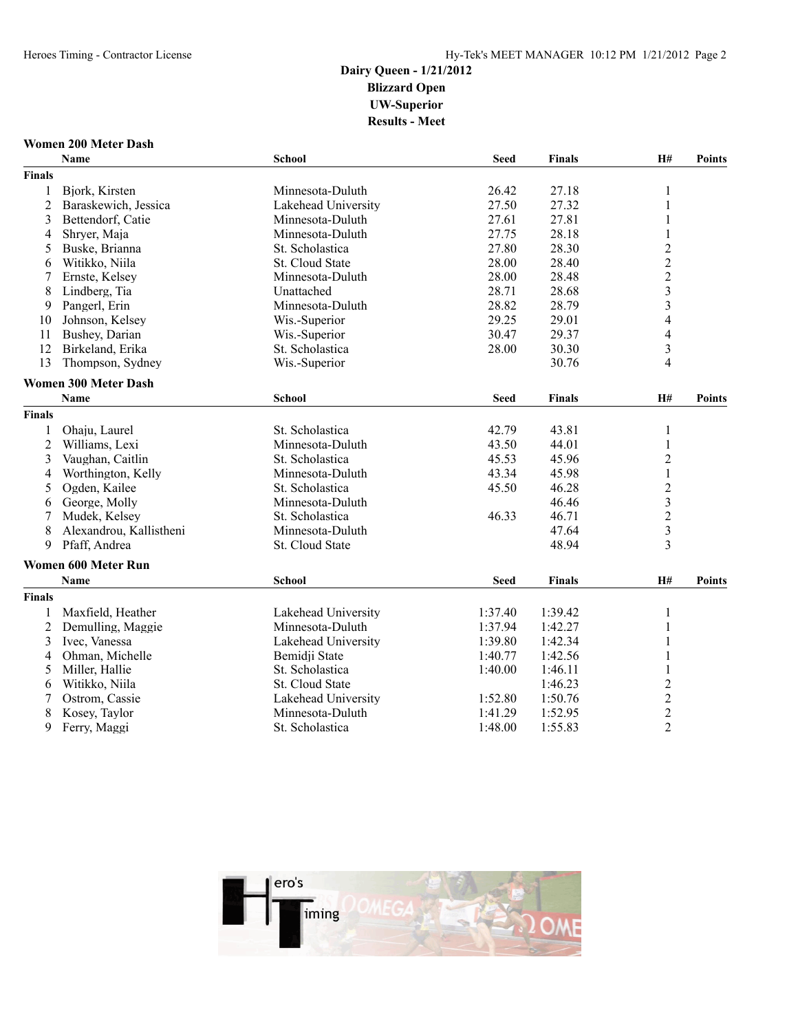### **Women 200 Meter Dash**

|                | <b>Name</b>                 | <b>School</b>       | <b>Seed</b> | <b>Finals</b> | H#                      | <b>Points</b> |
|----------------|-----------------------------|---------------------|-------------|---------------|-------------------------|---------------|
| <b>Finals</b>  |                             |                     |             |               |                         |               |
| 1              | Bjork, Kirsten              | Minnesota-Duluth    | 26.42       | 27.18         | $\mathbf{1}$            |               |
| $\overline{2}$ | Baraskewich, Jessica        | Lakehead University | 27.50       | 27.32         | 1                       |               |
| 3              | Bettendorf, Catie           | Minnesota-Duluth    | 27.61       | 27.81         | 1                       |               |
| 4              | Shryer, Maja                | Minnesota-Duluth    | 27.75       | 28.18         | 1                       |               |
| 5              | Buske, Brianna              | St. Scholastica     | 27.80       | 28.30         | $\sqrt{2}$              |               |
| 6              | Witikko, Niila              | St. Cloud State     | 28.00       | 28.40         | $\overline{c}$          |               |
| 7              | Ernste, Kelsey              | Minnesota-Duluth    | 28.00       | 28.48         | $\frac{2}{3}$           |               |
| 8              | Lindberg, Tia               | Unattached          | 28.71       | 28.68         |                         |               |
| 9              | Pangerl, Erin               | Minnesota-Duluth    | 28.82       | 28.79         | 3                       |               |
| 10             | Johnson, Kelsey             | Wis.-Superior       | 29.25       | 29.01         | 4                       |               |
| 11             | Bushey, Darian              | Wis.-Superior       | 30.47       | 29.37         | 4                       |               |
| 12             | Birkeland, Erika            | St. Scholastica     | 28.00       | 30.30         | 3                       |               |
| 13             | Thompson, Sydney            | Wis.-Superior       |             | 30.76         | 4                       |               |
|                | <b>Women 300 Meter Dash</b> |                     |             |               |                         |               |
|                | Name                        | <b>School</b>       | <b>Seed</b> | <b>Finals</b> | H#                      | <b>Points</b> |
| <b>Finals</b>  |                             |                     |             |               |                         |               |
| 1              | Ohaju, Laurel               | St. Scholastica     | 42.79       | 43.81         | 1                       |               |
| $\overline{2}$ | Williams, Lexi              | Minnesota-Duluth    | 43.50       | 44.01         | 1                       |               |
| 3              | Vaughan, Caitlin            | St. Scholastica     | 45.53       | 45.96         | $\overline{2}$          |               |
| 4              | Worthington, Kelly          | Minnesota-Duluth    | 43.34       | 45.98         | $\mathbf{1}$            |               |
| 5              | Ogden, Kailee               | St. Scholastica     | 45.50       | 46.28         | $\overline{c}$          |               |
| 6              | George, Molly               | Minnesota-Duluth    |             | 46.46         | $\overline{\mathbf{3}}$ |               |
| 7              | Mudek, Kelsey               | St. Scholastica     | 46.33       | 46.71         | $\overline{c}$          |               |
| 8              | Alexandrou, Kallistheni     | Minnesota-Duluth    |             | 47.64         | $\overline{\mathbf{3}}$ |               |
| 9              | Pfaff, Andrea               | St. Cloud State     |             | 48.94         | $\overline{\mathbf{3}}$ |               |
|                | <b>Women 600 Meter Run</b>  |                     |             |               |                         |               |
|                | <b>Name</b>                 | <b>School</b>       | <b>Seed</b> | <b>Finals</b> | H#                      | <b>Points</b> |
| <b>Finals</b>  |                             |                     |             |               |                         |               |
| 1              | Maxfield, Heather           | Lakehead University | 1:37.40     | 1:39.42       | 1                       |               |
| $\overline{c}$ | Demulling, Maggie           | Minnesota-Duluth    | 1:37.94     | 1:42.27       | 1                       |               |
| 3              | Ivec, Vanessa               | Lakehead University | 1:39.80     | 1:42.34       |                         |               |
| 4              | Ohman, Michelle             | Bemidji State       | 1:40.77     | 1:42.56       | 1                       |               |
| 5              | Miller, Hallie              | St. Scholastica     | 1:40.00     | 1:46.11       | 1                       |               |
| 6              | Witikko, Niila              | St. Cloud State     |             | 1:46.23       | $\overline{c}$          |               |
| 7              | Ostrom, Cassie              | Lakehead University | 1:52.80     | 1:50.76       | $\overline{\mathbf{c}}$ |               |
| 8              | Kosey, Taylor               | Minnesota-Duluth    | 1:41.29     | 1:52.95       | $\overline{c}$          |               |
| 9              | Ferry, Maggi                | St. Scholastica     | 1:48.00     | 1:55.83       | $\overline{2}$          |               |

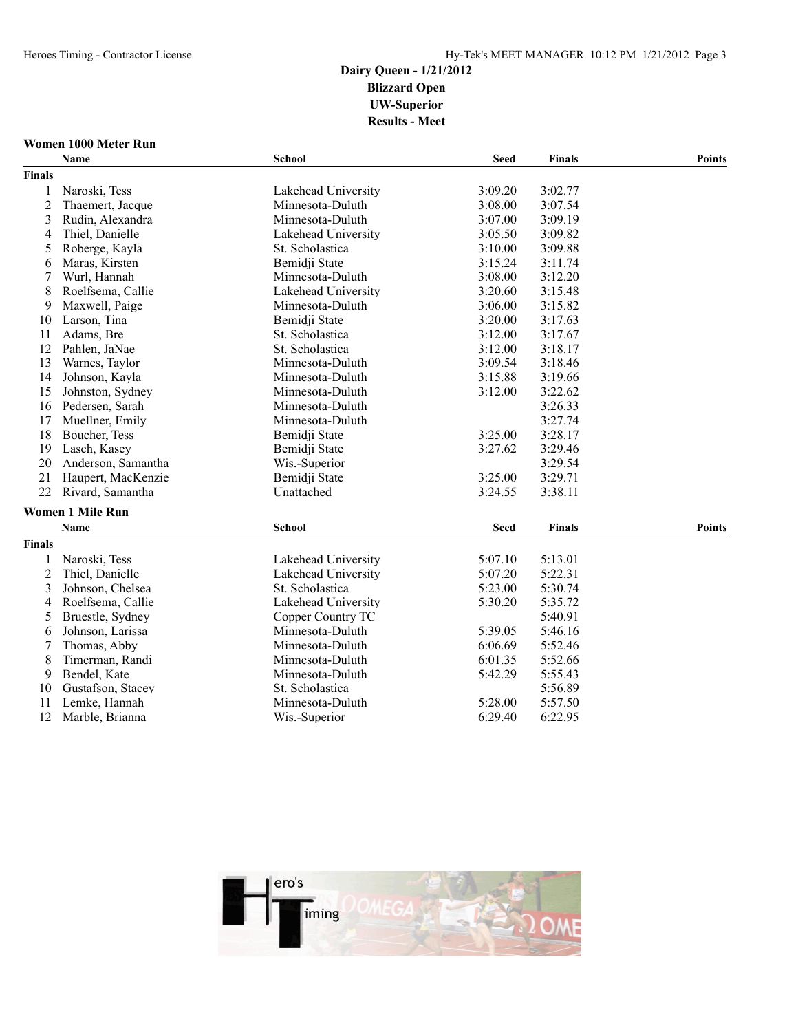# **Women 1000 Meter Run**

|                | Name                    | <b>School</b>       | <b>Seed</b> | <b>Finals</b> | <b>Points</b> |
|----------------|-------------------------|---------------------|-------------|---------------|---------------|
| <b>Finals</b>  |                         |                     |             |               |               |
| 1              | Naroski, Tess           | Lakehead University | 3:09.20     | 3:02.77       |               |
| $\overline{c}$ | Thaemert, Jacque        | Minnesota-Duluth    | 3:08.00     | 3:07.54       |               |
| 3              | Rudin, Alexandra        | Minnesota-Duluth    | 3:07.00     | 3:09.19       |               |
| 4              | Thiel, Danielle         | Lakehead University | 3:05.50     | 3:09.82       |               |
| 5              | Roberge, Kayla          | St. Scholastica     | 3:10.00     | 3:09.88       |               |
| 6              | Maras, Kirsten          | Bemidji State       | 3:15.24     | 3:11.74       |               |
| 7              | Wurl, Hannah            | Minnesota-Duluth    | 3:08.00     | 3:12.20       |               |
| 8              | Roelfsema, Callie       | Lakehead University | 3:20.60     | 3:15.48       |               |
| 9              | Maxwell, Paige          | Minnesota-Duluth    | 3:06.00     | 3:15.82       |               |
| 10             | Larson, Tina            | Bemidji State       | 3:20.00     | 3:17.63       |               |
| 11             | Adams, Bre              | St. Scholastica     | 3:12.00     | 3:17.67       |               |
| 12             | Pahlen, JaNae           | St. Scholastica     | 3:12.00     | 3:18.17       |               |
| 13             | Warnes, Taylor          | Minnesota-Duluth    | 3:09.54     | 3:18.46       |               |
| 14             | Johnson, Kayla          | Minnesota-Duluth    | 3:15.88     | 3:19.66       |               |
| 15             | Johnston, Sydney        | Minnesota-Duluth    | 3:12.00     | 3:22.62       |               |
| 16             | Pedersen, Sarah         | Minnesota-Duluth    |             | 3:26.33       |               |
| 17             | Muellner, Emily         | Minnesota-Duluth    |             | 3:27.74       |               |
| 18             | Boucher, Tess           | Bemidji State       | 3:25.00     | 3:28.17       |               |
| 19             | Lasch, Kasey            | Bemidji State       | 3:27.62     | 3:29.46       |               |
| 20             | Anderson, Samantha      | Wis.-Superior       |             | 3:29.54       |               |
| 21             | Haupert, MacKenzie      | Bemidji State       | 3:25.00     | 3:29.71       |               |
| 22             | Rivard, Samantha        | Unattached          | 3:24.55     | 3:38.11       |               |
|                | <b>Women 1 Mile Run</b> |                     |             |               |               |
|                | Name                    | <b>School</b>       | <b>Seed</b> | <b>Finals</b> | <b>Points</b> |
| <b>Finals</b>  |                         |                     |             |               |               |
| 1              | Naroski, Tess           | Lakehead University | 5:07.10     | 5:13.01       |               |
| $\overline{c}$ | Thiel, Danielle         | Lakehead University | 5:07.20     | 5:22.31       |               |
| 3              | Johnson, Chelsea        | St. Scholastica     | 5:23.00     | 5:30.74       |               |
| 4              | Roelfsema, Callie       | Lakehead University | 5:30.20     | 5:35.72       |               |
| 5              | Bruestle, Sydney        | Copper Country TC   |             | 5:40.91       |               |
| 6              | Johnson, Larissa        | Minnesota-Duluth    | 5:39.05     | 5:46.16       |               |
| 7              | Thomas, Abby            | Minnesota-Duluth    | 6:06.69     | 5:52.46       |               |
| 8              | Timerman, Randi         | Minnesota-Duluth    | 6:01.35     | 5:52.66       |               |
| 9              | Bendel, Kate            | Minnesota-Duluth    | 5:42.29     | 5:55.43       |               |
| 10             | Gustafson, Stacey       | St. Scholastica     |             | 5:56.89       |               |
| 11             | Lemke, Hannah           | Minnesota-Duluth    | 5:28.00     | 5:57.50       |               |
| 12             | Marble, Brianna         | Wis.-Superior       | 6:29.40     | 6:22.95       |               |

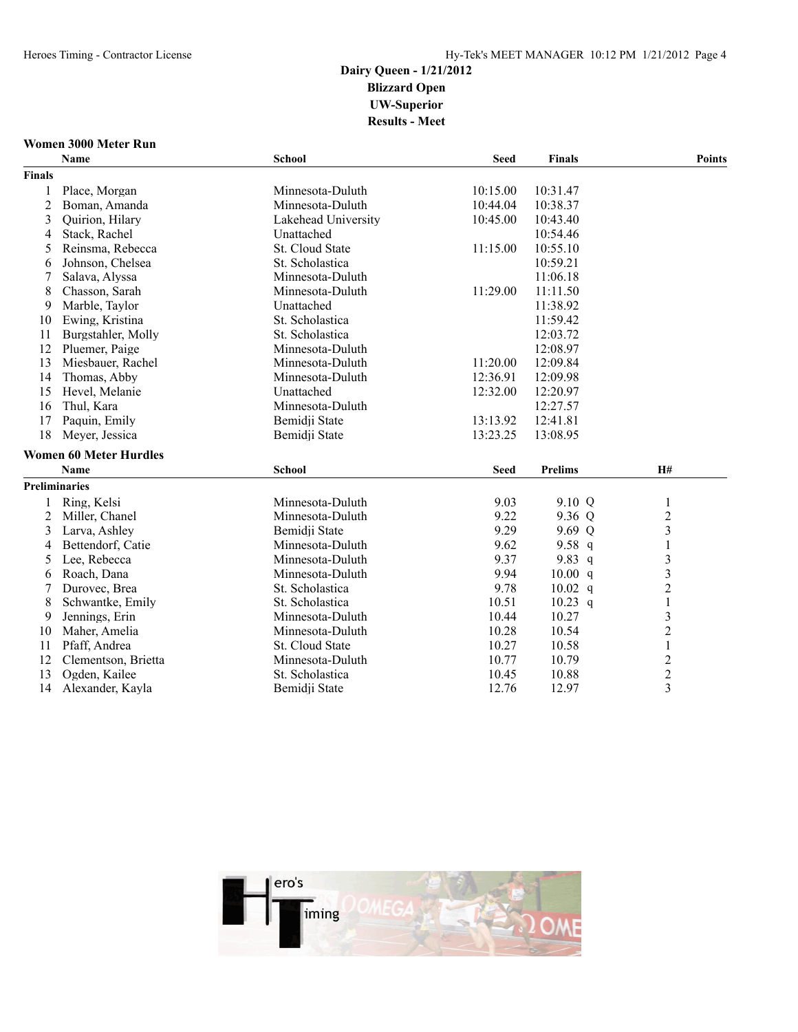### **Women 3000 Meter Run**

|                      | Name                          | <b>School</b>          | <b>Seed</b> | <b>Finals</b>  | <b>Points</b>                              |
|----------------------|-------------------------------|------------------------|-------------|----------------|--------------------------------------------|
| <b>Finals</b>        |                               |                        |             |                |                                            |
| 1                    | Place, Morgan                 | Minnesota-Duluth       | 10:15.00    | 10:31.47       |                                            |
| $\overline{c}$       | Boman, Amanda                 | Minnesota-Duluth       | 10:44.04    | 10:38.37       |                                            |
| 3                    | Quirion, Hilary               | Lakehead University    | 10:45.00    | 10:43.40       |                                            |
| 4                    | Stack, Rachel                 | Unattached             |             | 10:54.46       |                                            |
| 5                    | Reinsma, Rebecca              | <b>St. Cloud State</b> | 11:15.00    | 10:55.10       |                                            |
| 6                    | Johnson, Chelsea              | St. Scholastica        |             | 10:59.21       |                                            |
| 7                    | Salava, Alyssa                | Minnesota-Duluth       |             | 11:06.18       |                                            |
| 8                    | Chasson, Sarah                | Minnesota-Duluth       | 11:29.00    | 11:11.50       |                                            |
| 9                    | Marble, Taylor                | Unattached             |             | 11:38.92       |                                            |
| 10                   | Ewing, Kristina               | St. Scholastica        |             | 11:59.42       |                                            |
| 11                   | Burgstahler, Molly            | St. Scholastica        |             | 12:03.72       |                                            |
| 12                   | Pluemer, Paige                | Minnesota-Duluth       |             | 12:08.97       |                                            |
| 13                   | Miesbauer, Rachel             | Minnesota-Duluth       | 11:20.00    | 12:09.84       |                                            |
| 14                   | Thomas, Abby                  | Minnesota-Duluth       | 12:36.91    | 12:09.98       |                                            |
| 15                   | Hevel, Melanie                | Unattached             | 12:32.00    | 12:20.97       |                                            |
| 16                   | Thul, Kara                    | Minnesota-Duluth       |             | 12:27.57       |                                            |
| 17                   | Paquin, Emily                 | Bemidji State          | 13:13.92    | 12:41.81       |                                            |
| 18                   | Meyer, Jessica                | Bemidji State          | 13:23.25    | 13:08.95       |                                            |
|                      | <b>Women 60 Meter Hurdles</b> |                        |             |                |                                            |
|                      | <b>Name</b>                   | <b>School</b>          | <b>Seed</b> | <b>Prelims</b> | H#                                         |
| <b>Preliminaries</b> |                               |                        |             |                |                                            |
|                      | Ring, Kelsi                   | Minnesota-Duluth       | 9.03        | 9.10 Q         | $\mathbf{1}$                               |
| 2                    | Miller, Chanel                | Minnesota-Duluth       | 9.22        | 9.36 Q         | $\overline{c}$                             |
| 3                    | Larva, Ashley                 | Bemidji State          | 9.29        | 9.69 Q         | $\overline{\mathbf{3}}$                    |
| 4                    | Bettendorf, Catie             | Minnesota-Duluth       | 9.62        | 9.58 $q$       | $\mathbf{1}$                               |
| 5                    | Lee, Rebecca                  | Minnesota-Duluth       | 9.37        | 9.83 $q$       |                                            |
| 6                    | Roach, Dana                   | Minnesota-Duluth       | 9.94        | 10.00 q        | $\begin{array}{c} 3 \\ 3 \\ 2 \end{array}$ |
| 7                    | Durovec, Brea                 | St. Scholastica        | 9.78        | $10.02$ q      |                                            |
| 8                    | Schwantke, Emily              | St. Scholastica        | 10.51       | $10.23$ q      | $\,1$                                      |
| 9                    | Jennings, Erin                | Minnesota-Duluth       | 10.44       | 10.27          | 3                                          |
| 10                   | Maher, Amelia                 | Minnesota-Duluth       | 10.28       | 10.54          | $\overline{c}$                             |
| 11                   | Pfaff, Andrea                 | St. Cloud State        | 10.27       | 10.58          | $\,1\,$                                    |
| 12                   | Clementson, Brietta           | Minnesota-Duluth       | 10.77       | 10.79          | $\frac{2}{2}$                              |
| 13                   | Ogden, Kailee                 | St. Scholastica        | 10.45       | 10.88          |                                            |
| 14                   | Alexander, Kayla              | Bemidji State          | 12.76       | 12.97          | $\overline{3}$                             |

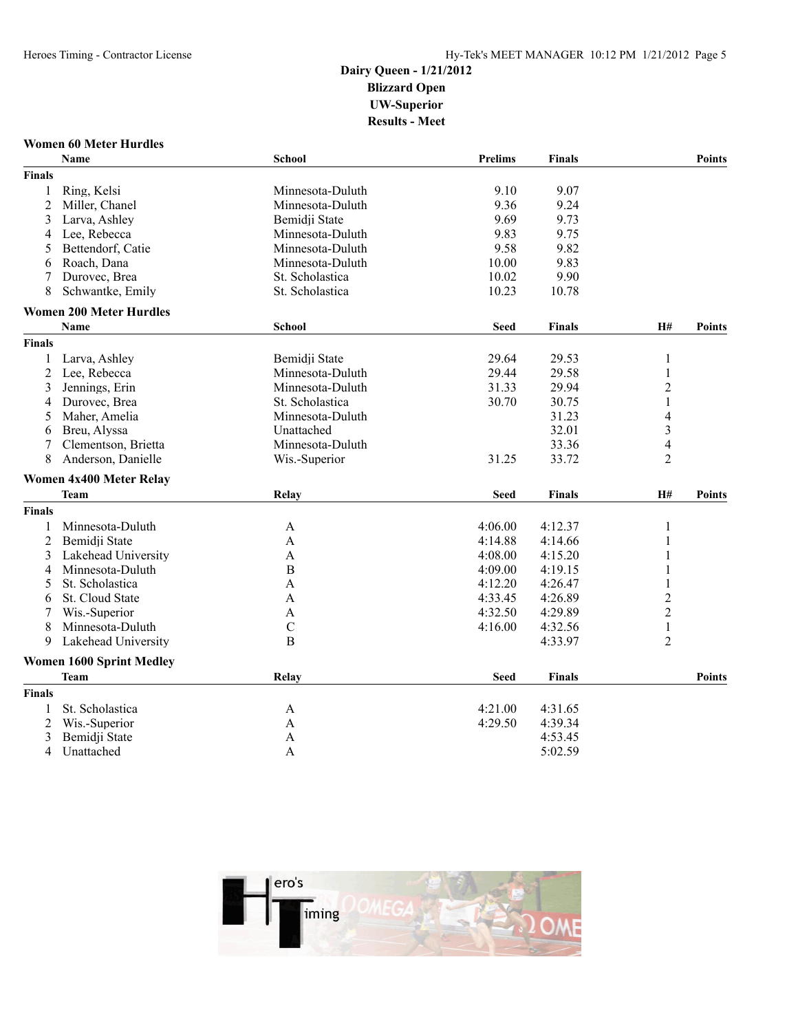### **Women 60 Meter Hurdles**

| <b>Finals</b><br>9.10<br>Ring, Kelsi<br>9.07<br>Minnesota-Duluth<br>1<br>2<br>Miller, Chanel<br>9.36<br>9.24<br>Minnesota-Duluth<br>9.69<br>9.73<br>3<br>Larva, Ashley<br>Bemidji State<br>Lee, Rebecca<br>Minnesota-Duluth<br>9.83<br>9.75<br>4<br>9.58<br>9.82<br>5<br>Bettendorf, Catie<br>Minnesota-Duluth<br>10.00<br>9.83<br>Roach, Dana<br>Minnesota-Duluth<br>6<br>St. Scholastica<br>9.90<br>Durovec, Brea<br>10.02<br>8<br>Schwantke, Emily<br>St. Scholastica<br>10.23<br>10.78<br><b>Women 200 Meter Hurdles</b><br><b>Name</b><br><b>H#</b><br><b>School</b><br><b>Seed</b><br><b>Points</b><br>Finals<br><b>Finals</b><br>Bemidji State<br>29.64<br>29.53<br>Larva, Ashley<br>1<br>1<br>2<br>Lee, Rebecca<br>Minnesota-Duluth<br>29.44<br>29.58<br>1<br>$\overline{2}$<br>Jennings, Erin<br>Minnesota-Duluth<br>31.33<br>29.94<br>3<br>$\mathbf{1}$<br>Durovec, Brea<br>St. Scholastica<br>30.75<br>30.70<br>4<br>Minnesota-Duluth<br>31.23<br>4<br>Maher, Amelia<br>5<br>$\overline{\mathbf{3}}$<br>Breu, Alyssa<br>Unattached<br>32.01<br>6<br>$\overline{4}$<br>Clementson, Brietta<br>Minnesota-Duluth<br>33.36<br>7<br>$\overline{2}$<br>8<br>Anderson, Danielle<br>Wis.-Superior<br>31.25<br>33.72<br>Women 4x400 Meter Relay<br>H#<br>Relay<br><b>Team</b><br><b>Seed</b><br><b>Finals</b><br><b>Points</b><br><b>Finals</b><br>Minnesota-Duluth<br>4:06.00<br>4:12.37<br>$\mathbf{1}$<br>A<br>1<br>1<br>2<br>Bemidji State<br>$\overline{A}$<br>4:14.88<br>4:14.66<br>4:08.00<br>3<br>Lakehead University<br>$\mathbf{A}$<br>4:15.20<br>1<br>B<br>Minnesota-Duluth<br>4:09.00<br>4:19.15<br>1<br>4<br>1<br>St. Scholastica<br>4:12.20<br>5<br>A<br>4:26.47<br>$\overline{c}$<br>4:33.45<br>St. Cloud State<br>4:26.89<br>A<br>6<br>$\overline{2}$<br>4:32.50<br>4:29.89<br>Wis.-Superior<br>A<br>7<br>Minnesota-Duluth<br>$\mathcal{C}$<br>4:16.00<br>4:32.56<br>$\mathbf{1}$<br>8<br>Lakehead University<br>$\overline{2}$<br>9<br>B<br>4:33.97<br><b>Women 1600 Sprint Medley</b><br><b>Team</b><br>Relay<br><b>Seed</b><br><b>Finals</b><br><b>Points</b><br><b>Finals</b><br>4:21.00<br>St. Scholastica<br>4:31.65<br>1<br>A<br>4:29.50<br>2<br>Wis.-Superior<br>4:39.34<br>$\mathbf{A}$<br>Bemidji State<br>4:53.45<br>3<br>A |   | Name       | School | <b>Prelims</b> | <b>Finals</b> | <b>Points</b> |
|----------------------------------------------------------------------------------------------------------------------------------------------------------------------------------------------------------------------------------------------------------------------------------------------------------------------------------------------------------------------------------------------------------------------------------------------------------------------------------------------------------------------------------------------------------------------------------------------------------------------------------------------------------------------------------------------------------------------------------------------------------------------------------------------------------------------------------------------------------------------------------------------------------------------------------------------------------------------------------------------------------------------------------------------------------------------------------------------------------------------------------------------------------------------------------------------------------------------------------------------------------------------------------------------------------------------------------------------------------------------------------------------------------------------------------------------------------------------------------------------------------------------------------------------------------------------------------------------------------------------------------------------------------------------------------------------------------------------------------------------------------------------------------------------------------------------------------------------------------------------------------------------------------------------------------------------------------------------------------------------------------------------------------------------------------------------------------------------------------------------------------------------------------------------------------------------------------------------------------------------------------|---|------------|--------|----------------|---------------|---------------|
|                                                                                                                                                                                                                                                                                                                                                                                                                                                                                                                                                                                                                                                                                                                                                                                                                                                                                                                                                                                                                                                                                                                                                                                                                                                                                                                                                                                                                                                                                                                                                                                                                                                                                                                                                                                                                                                                                                                                                                                                                                                                                                                                                                                                                                                          |   |            |        |                |               |               |
|                                                                                                                                                                                                                                                                                                                                                                                                                                                                                                                                                                                                                                                                                                                                                                                                                                                                                                                                                                                                                                                                                                                                                                                                                                                                                                                                                                                                                                                                                                                                                                                                                                                                                                                                                                                                                                                                                                                                                                                                                                                                                                                                                                                                                                                          |   |            |        |                |               |               |
|                                                                                                                                                                                                                                                                                                                                                                                                                                                                                                                                                                                                                                                                                                                                                                                                                                                                                                                                                                                                                                                                                                                                                                                                                                                                                                                                                                                                                                                                                                                                                                                                                                                                                                                                                                                                                                                                                                                                                                                                                                                                                                                                                                                                                                                          |   |            |        |                |               |               |
|                                                                                                                                                                                                                                                                                                                                                                                                                                                                                                                                                                                                                                                                                                                                                                                                                                                                                                                                                                                                                                                                                                                                                                                                                                                                                                                                                                                                                                                                                                                                                                                                                                                                                                                                                                                                                                                                                                                                                                                                                                                                                                                                                                                                                                                          |   |            |        |                |               |               |
|                                                                                                                                                                                                                                                                                                                                                                                                                                                                                                                                                                                                                                                                                                                                                                                                                                                                                                                                                                                                                                                                                                                                                                                                                                                                                                                                                                                                                                                                                                                                                                                                                                                                                                                                                                                                                                                                                                                                                                                                                                                                                                                                                                                                                                                          |   |            |        |                |               |               |
|                                                                                                                                                                                                                                                                                                                                                                                                                                                                                                                                                                                                                                                                                                                                                                                                                                                                                                                                                                                                                                                                                                                                                                                                                                                                                                                                                                                                                                                                                                                                                                                                                                                                                                                                                                                                                                                                                                                                                                                                                                                                                                                                                                                                                                                          |   |            |        |                |               |               |
|                                                                                                                                                                                                                                                                                                                                                                                                                                                                                                                                                                                                                                                                                                                                                                                                                                                                                                                                                                                                                                                                                                                                                                                                                                                                                                                                                                                                                                                                                                                                                                                                                                                                                                                                                                                                                                                                                                                                                                                                                                                                                                                                                                                                                                                          |   |            |        |                |               |               |
|                                                                                                                                                                                                                                                                                                                                                                                                                                                                                                                                                                                                                                                                                                                                                                                                                                                                                                                                                                                                                                                                                                                                                                                                                                                                                                                                                                                                                                                                                                                                                                                                                                                                                                                                                                                                                                                                                                                                                                                                                                                                                                                                                                                                                                                          |   |            |        |                |               |               |
|                                                                                                                                                                                                                                                                                                                                                                                                                                                                                                                                                                                                                                                                                                                                                                                                                                                                                                                                                                                                                                                                                                                                                                                                                                                                                                                                                                                                                                                                                                                                                                                                                                                                                                                                                                                                                                                                                                                                                                                                                                                                                                                                                                                                                                                          |   |            |        |                |               |               |
|                                                                                                                                                                                                                                                                                                                                                                                                                                                                                                                                                                                                                                                                                                                                                                                                                                                                                                                                                                                                                                                                                                                                                                                                                                                                                                                                                                                                                                                                                                                                                                                                                                                                                                                                                                                                                                                                                                                                                                                                                                                                                                                                                                                                                                                          |   |            |        |                |               |               |
|                                                                                                                                                                                                                                                                                                                                                                                                                                                                                                                                                                                                                                                                                                                                                                                                                                                                                                                                                                                                                                                                                                                                                                                                                                                                                                                                                                                                                                                                                                                                                                                                                                                                                                                                                                                                                                                                                                                                                                                                                                                                                                                                                                                                                                                          |   |            |        |                |               |               |
|                                                                                                                                                                                                                                                                                                                                                                                                                                                                                                                                                                                                                                                                                                                                                                                                                                                                                                                                                                                                                                                                                                                                                                                                                                                                                                                                                                                                                                                                                                                                                                                                                                                                                                                                                                                                                                                                                                                                                                                                                                                                                                                                                                                                                                                          |   |            |        |                |               |               |
|                                                                                                                                                                                                                                                                                                                                                                                                                                                                                                                                                                                                                                                                                                                                                                                                                                                                                                                                                                                                                                                                                                                                                                                                                                                                                                                                                                                                                                                                                                                                                                                                                                                                                                                                                                                                                                                                                                                                                                                                                                                                                                                                                                                                                                                          |   |            |        |                |               |               |
|                                                                                                                                                                                                                                                                                                                                                                                                                                                                                                                                                                                                                                                                                                                                                                                                                                                                                                                                                                                                                                                                                                                                                                                                                                                                                                                                                                                                                                                                                                                                                                                                                                                                                                                                                                                                                                                                                                                                                                                                                                                                                                                                                                                                                                                          |   |            |        |                |               |               |
|                                                                                                                                                                                                                                                                                                                                                                                                                                                                                                                                                                                                                                                                                                                                                                                                                                                                                                                                                                                                                                                                                                                                                                                                                                                                                                                                                                                                                                                                                                                                                                                                                                                                                                                                                                                                                                                                                                                                                                                                                                                                                                                                                                                                                                                          |   |            |        |                |               |               |
|                                                                                                                                                                                                                                                                                                                                                                                                                                                                                                                                                                                                                                                                                                                                                                                                                                                                                                                                                                                                                                                                                                                                                                                                                                                                                                                                                                                                                                                                                                                                                                                                                                                                                                                                                                                                                                                                                                                                                                                                                                                                                                                                                                                                                                                          |   |            |        |                |               |               |
|                                                                                                                                                                                                                                                                                                                                                                                                                                                                                                                                                                                                                                                                                                                                                                                                                                                                                                                                                                                                                                                                                                                                                                                                                                                                                                                                                                                                                                                                                                                                                                                                                                                                                                                                                                                                                                                                                                                                                                                                                                                                                                                                                                                                                                                          |   |            |        |                |               |               |
|                                                                                                                                                                                                                                                                                                                                                                                                                                                                                                                                                                                                                                                                                                                                                                                                                                                                                                                                                                                                                                                                                                                                                                                                                                                                                                                                                                                                                                                                                                                                                                                                                                                                                                                                                                                                                                                                                                                                                                                                                                                                                                                                                                                                                                                          |   |            |        |                |               |               |
|                                                                                                                                                                                                                                                                                                                                                                                                                                                                                                                                                                                                                                                                                                                                                                                                                                                                                                                                                                                                                                                                                                                                                                                                                                                                                                                                                                                                                                                                                                                                                                                                                                                                                                                                                                                                                                                                                                                                                                                                                                                                                                                                                                                                                                                          |   |            |        |                |               |               |
|                                                                                                                                                                                                                                                                                                                                                                                                                                                                                                                                                                                                                                                                                                                                                                                                                                                                                                                                                                                                                                                                                                                                                                                                                                                                                                                                                                                                                                                                                                                                                                                                                                                                                                                                                                                                                                                                                                                                                                                                                                                                                                                                                                                                                                                          |   |            |        |                |               |               |
|                                                                                                                                                                                                                                                                                                                                                                                                                                                                                                                                                                                                                                                                                                                                                                                                                                                                                                                                                                                                                                                                                                                                                                                                                                                                                                                                                                                                                                                                                                                                                                                                                                                                                                                                                                                                                                                                                                                                                                                                                                                                                                                                                                                                                                                          |   |            |        |                |               |               |
|                                                                                                                                                                                                                                                                                                                                                                                                                                                                                                                                                                                                                                                                                                                                                                                                                                                                                                                                                                                                                                                                                                                                                                                                                                                                                                                                                                                                                                                                                                                                                                                                                                                                                                                                                                                                                                                                                                                                                                                                                                                                                                                                                                                                                                                          |   |            |        |                |               |               |
|                                                                                                                                                                                                                                                                                                                                                                                                                                                                                                                                                                                                                                                                                                                                                                                                                                                                                                                                                                                                                                                                                                                                                                                                                                                                                                                                                                                                                                                                                                                                                                                                                                                                                                                                                                                                                                                                                                                                                                                                                                                                                                                                                                                                                                                          |   |            |        |                |               |               |
|                                                                                                                                                                                                                                                                                                                                                                                                                                                                                                                                                                                                                                                                                                                                                                                                                                                                                                                                                                                                                                                                                                                                                                                                                                                                                                                                                                                                                                                                                                                                                                                                                                                                                                                                                                                                                                                                                                                                                                                                                                                                                                                                                                                                                                                          |   |            |        |                |               |               |
|                                                                                                                                                                                                                                                                                                                                                                                                                                                                                                                                                                                                                                                                                                                                                                                                                                                                                                                                                                                                                                                                                                                                                                                                                                                                                                                                                                                                                                                                                                                                                                                                                                                                                                                                                                                                                                                                                                                                                                                                                                                                                                                                                                                                                                                          |   |            |        |                |               |               |
|                                                                                                                                                                                                                                                                                                                                                                                                                                                                                                                                                                                                                                                                                                                                                                                                                                                                                                                                                                                                                                                                                                                                                                                                                                                                                                                                                                                                                                                                                                                                                                                                                                                                                                                                                                                                                                                                                                                                                                                                                                                                                                                                                                                                                                                          |   |            |        |                |               |               |
|                                                                                                                                                                                                                                                                                                                                                                                                                                                                                                                                                                                                                                                                                                                                                                                                                                                                                                                                                                                                                                                                                                                                                                                                                                                                                                                                                                                                                                                                                                                                                                                                                                                                                                                                                                                                                                                                                                                                                                                                                                                                                                                                                                                                                                                          |   |            |        |                |               |               |
|                                                                                                                                                                                                                                                                                                                                                                                                                                                                                                                                                                                                                                                                                                                                                                                                                                                                                                                                                                                                                                                                                                                                                                                                                                                                                                                                                                                                                                                                                                                                                                                                                                                                                                                                                                                                                                                                                                                                                                                                                                                                                                                                                                                                                                                          |   |            |        |                |               |               |
|                                                                                                                                                                                                                                                                                                                                                                                                                                                                                                                                                                                                                                                                                                                                                                                                                                                                                                                                                                                                                                                                                                                                                                                                                                                                                                                                                                                                                                                                                                                                                                                                                                                                                                                                                                                                                                                                                                                                                                                                                                                                                                                                                                                                                                                          |   |            |        |                |               |               |
|                                                                                                                                                                                                                                                                                                                                                                                                                                                                                                                                                                                                                                                                                                                                                                                                                                                                                                                                                                                                                                                                                                                                                                                                                                                                                                                                                                                                                                                                                                                                                                                                                                                                                                                                                                                                                                                                                                                                                                                                                                                                                                                                                                                                                                                          |   |            |        |                |               |               |
|                                                                                                                                                                                                                                                                                                                                                                                                                                                                                                                                                                                                                                                                                                                                                                                                                                                                                                                                                                                                                                                                                                                                                                                                                                                                                                                                                                                                                                                                                                                                                                                                                                                                                                                                                                                                                                                                                                                                                                                                                                                                                                                                                                                                                                                          |   |            |        |                |               |               |
|                                                                                                                                                                                                                                                                                                                                                                                                                                                                                                                                                                                                                                                                                                                                                                                                                                                                                                                                                                                                                                                                                                                                                                                                                                                                                                                                                                                                                                                                                                                                                                                                                                                                                                                                                                                                                                                                                                                                                                                                                                                                                                                                                                                                                                                          |   |            |        |                |               |               |
|                                                                                                                                                                                                                                                                                                                                                                                                                                                                                                                                                                                                                                                                                                                                                                                                                                                                                                                                                                                                                                                                                                                                                                                                                                                                                                                                                                                                                                                                                                                                                                                                                                                                                                                                                                                                                                                                                                                                                                                                                                                                                                                                                                                                                                                          |   |            |        |                |               |               |
|                                                                                                                                                                                                                                                                                                                                                                                                                                                                                                                                                                                                                                                                                                                                                                                                                                                                                                                                                                                                                                                                                                                                                                                                                                                                                                                                                                                                                                                                                                                                                                                                                                                                                                                                                                                                                                                                                                                                                                                                                                                                                                                                                                                                                                                          |   |            |        |                |               |               |
|                                                                                                                                                                                                                                                                                                                                                                                                                                                                                                                                                                                                                                                                                                                                                                                                                                                                                                                                                                                                                                                                                                                                                                                                                                                                                                                                                                                                                                                                                                                                                                                                                                                                                                                                                                                                                                                                                                                                                                                                                                                                                                                                                                                                                                                          |   |            |        |                |               |               |
|                                                                                                                                                                                                                                                                                                                                                                                                                                                                                                                                                                                                                                                                                                                                                                                                                                                                                                                                                                                                                                                                                                                                                                                                                                                                                                                                                                                                                                                                                                                                                                                                                                                                                                                                                                                                                                                                                                                                                                                                                                                                                                                                                                                                                                                          |   |            |        |                |               |               |
|                                                                                                                                                                                                                                                                                                                                                                                                                                                                                                                                                                                                                                                                                                                                                                                                                                                                                                                                                                                                                                                                                                                                                                                                                                                                                                                                                                                                                                                                                                                                                                                                                                                                                                                                                                                                                                                                                                                                                                                                                                                                                                                                                                                                                                                          |   |            |        |                |               |               |
|                                                                                                                                                                                                                                                                                                                                                                                                                                                                                                                                                                                                                                                                                                                                                                                                                                                                                                                                                                                                                                                                                                                                                                                                                                                                                                                                                                                                                                                                                                                                                                                                                                                                                                                                                                                                                                                                                                                                                                                                                                                                                                                                                                                                                                                          |   |            |        |                |               |               |
|                                                                                                                                                                                                                                                                                                                                                                                                                                                                                                                                                                                                                                                                                                                                                                                                                                                                                                                                                                                                                                                                                                                                                                                                                                                                                                                                                                                                                                                                                                                                                                                                                                                                                                                                                                                                                                                                                                                                                                                                                                                                                                                                                                                                                                                          | 4 | Unattached | A      |                | 5:02.59       |               |

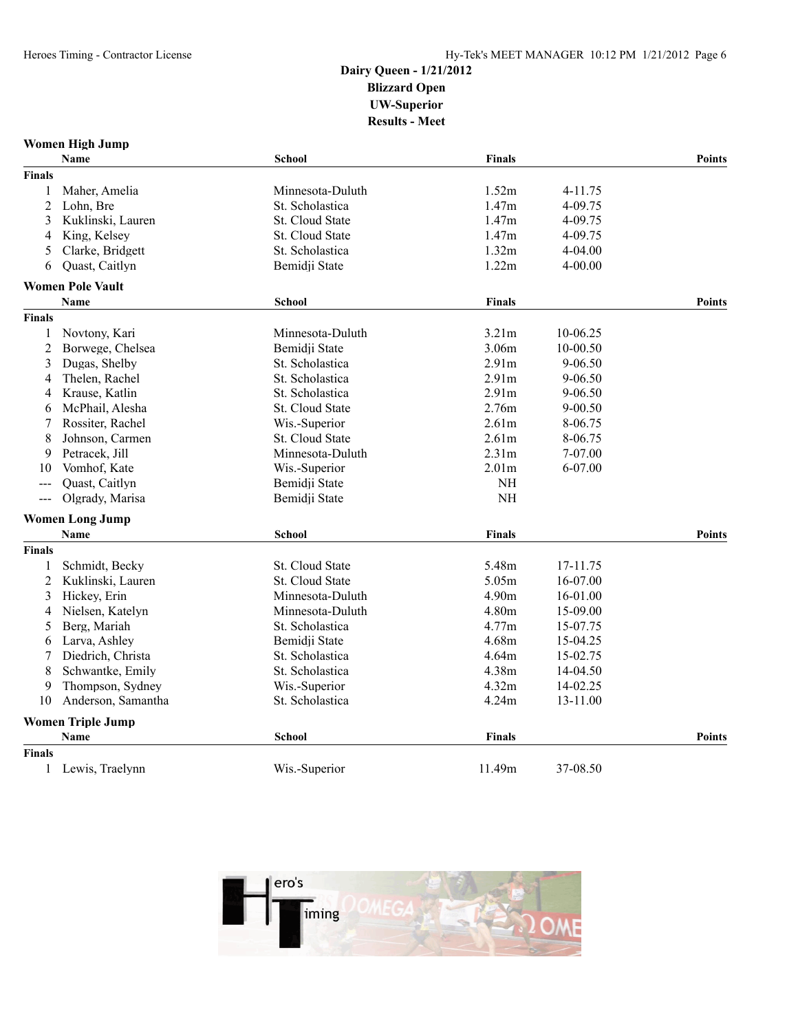| Women High Jump |  |  |
|-----------------|--|--|
|-----------------|--|--|

|                                             | Name                     | <b>School</b>    | Finals            |             | <b>Points</b> |
|---------------------------------------------|--------------------------|------------------|-------------------|-------------|---------------|
| <b>Finals</b>                               |                          |                  |                   |             |               |
| 1                                           | Maher, Amelia            | Minnesota-Duluth | 1.52m             | 4-11.75     |               |
| $\overline{c}$                              | Lohn, Bre                | St. Scholastica  | 1.47m             | 4-09.75     |               |
| 3                                           | Kuklinski, Lauren        | St. Cloud State  | 1.47m             | 4-09.75     |               |
| 4                                           | King, Kelsey             | St. Cloud State  | 1.47m             | 4-09.75     |               |
| 5                                           | Clarke, Bridgett         | St. Scholastica  | 1.32m             | $4 - 04.00$ |               |
| 6                                           | Quast, Caitlyn           | Bemidji State    | 1.22m             | 4-00.00     |               |
|                                             | <b>Women Pole Vault</b>  |                  |                   |             |               |
|                                             | <b>Name</b>              | <b>School</b>    | <b>Finals</b>     |             | <b>Points</b> |
| Finals                                      |                          |                  |                   |             |               |
| 1                                           | Novtony, Kari            | Minnesota-Duluth | 3.21m             | 10-06.25    |               |
| $\overline{c}$                              | Borwege, Chelsea         | Bemidii State    | 3.06m             | 10-00.50    |               |
| 3                                           | Dugas, Shelby            | St. Scholastica  | 2.91 <sub>m</sub> | $9 - 06.50$ |               |
| 4                                           | Thelen, Rachel           | St. Scholastica  | 2.91m             | 9-06.50     |               |
| 4                                           | Krause, Katlin           | St. Scholastica  | 2.91m             | 9-06.50     |               |
| 6                                           | McPhail, Alesha          | St. Cloud State  | 2.76m             | 9-00.50     |               |
| 7                                           | Rossiter, Rachel         | Wis.-Superior    | 2.61m             | 8-06.75     |               |
| 8                                           | Johnson, Carmen          | St. Cloud State  | 2.61 <sub>m</sub> | 8-06.75     |               |
| 9                                           | Petracek, Jill           | Minnesota-Duluth | 2.31m             | 7-07.00     |               |
| 10                                          | Vomhof, Kate             | Wis.-Superior    | 2.01m             | 6-07.00     |               |
| $---$                                       | Quast, Caitlyn           | Bemidji State    | <b>NH</b>         |             |               |
| $\scriptstyle \cdots$ $\scriptstyle \cdots$ | Olgrady, Marisa          | Bemidji State    | <b>NH</b>         |             |               |
|                                             | <b>Women Long Jump</b>   |                  |                   |             |               |
|                                             | <b>Name</b>              | <b>School</b>    | <b>Finals</b>     |             | <b>Points</b> |
| <b>Finals</b>                               |                          |                  |                   |             |               |
| 1                                           | Schmidt, Becky           | St. Cloud State  | 5.48m             | 17-11.75    |               |
| 2                                           | Kuklinski, Lauren        | St. Cloud State  | 5.05m             | 16-07.00    |               |
| 3                                           | Hickey, Erin             | Minnesota-Duluth | 4.90m             | 16-01.00    |               |
| 4                                           | Nielsen, Katelyn         | Minnesota-Duluth | 4.80m             | 15-09.00    |               |
| 5                                           | Berg, Mariah             | St. Scholastica  | 4.77m             | 15-07.75    |               |
| 6                                           | Larva, Ashley            | Bemidji State    | 4.68m             | 15-04.25    |               |
| 7                                           | Diedrich, Christa        | St. Scholastica  | 4.64m             | 15-02.75    |               |
| 8                                           | Schwantke, Emily         | St. Scholastica  | 4.38m             | 14-04.50    |               |
| 9                                           | Thompson, Sydney         | Wis.-Superior    | 4.32m             | 14-02.25    |               |
| 10                                          | Anderson, Samantha       | St. Scholastica  | 4.24m             | 13-11.00    |               |
|                                             | <b>Women Triple Jump</b> |                  |                   |             |               |
|                                             | Name                     | <b>School</b>    | Finals            |             | <b>Points</b> |
| <b>Finals</b>                               |                          |                  |                   |             |               |
| 1                                           | Lewis, Traelynn          | Wis.-Superior    | 11.49m            | 37-08.50    |               |

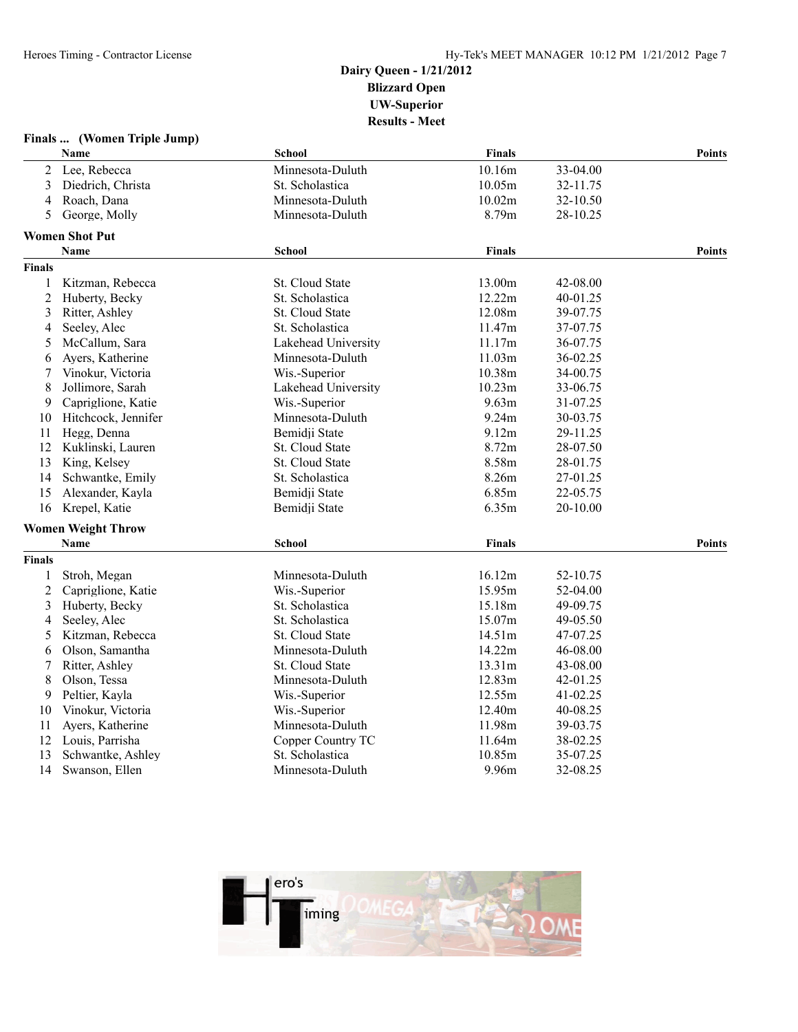#### **Finals ... (Women Triple Jump) Name School Finals Points** 2 Lee, Rebecca Minnesota-Duluth 10.16m 33-04.00 3 Diedrich, Christa St. Scholastica 10.05m 32-11.75 4 Roach, Dana Minnesota-Duluth 10.02m 32-10.50 5 George, Molly Minnesota-Duluth 8.79m 28-10.25 **Women Shot Put Name School Finals Points Finals** 1 Kitzman, Rebecca St. Cloud State 13.00m 42-08.00 2 Huberty, Becky St. Scholastica 12.22m 40-01.25 3 Ritter, Ashley St. Cloud State 12.08m 39-07.75 4 Seeley, Alec St. Scholastica 11.47m 37-07.75 5 McCallum, Sara Lakehead University 11.17m 36-07.75 6 Ayers, Katherine Minnesota-Duluth 11.03m 36-02.25 7 Vinokur, Victoria Wis.-Superior 10.38m 34-00.75 8 Jollimore, Sarah Lakehead University 10.23m 33-06.75 9 Capriglione, Katie Wis.-Superior 9.63m 31-07.25 10 Hitchcock, Jennifer Minnesota-Duluth 9.24m 30-03.75 11 Hegg, Denna Bemidji State 9.12m 29-11.25 12 Kuklinski, Lauren St. Cloud State 8.72m 28-07.50 13 King, Kelsey St. Cloud State 8.58m 28-01.75 14 Schwantke, Emily St. Scholastica 8.26m 27-01.25 15 Alexander, Kayla Bemidji State 6.85m 22-05.75 16 Krepel, Katie Bemidji State 6.35m 20-10.00 **Women Weight Throw Name School Finals Points Finals** 1 Stroh, Megan Minnesota-Duluth 16.12m 52-10.75 2 Capriglione, Katie Wis.-Superior 15.95m 52-04.00 3 Huberty, Becky St. Scholastica 15.18m 49-09.75 4 Seeley, Alec St. Scholastica 15.07m 49-05.50 5 Kitzman, Rebecca St. Cloud State 14.51m 47-07.25 6 Olson, Samantha Minnesota-Duluth 14.22m 46-08.00 7 Ritter, Ashley St. Cloud State 13.31m 43-08.00 8 Olson, Tessa Minnesota-Duluth 12.83m 42-01.25 9 Peltier, Kayla Wis.-Superior 12.55m 41-02.25 10 Vinokur, Victoria Wis.-Superior 12.40m 40-08.25 11 Ayers, Katherine Minnesota-Duluth 11.98m 39-03.75 12 Louis, Parrisha Copper Country TC 11.64m 38-02.25 13 Schwantke, Ashley St. Scholastica 10.85m 35-07.25 14 Swanson, Ellen Minnesota-Duluth 9.96m 32-08.25

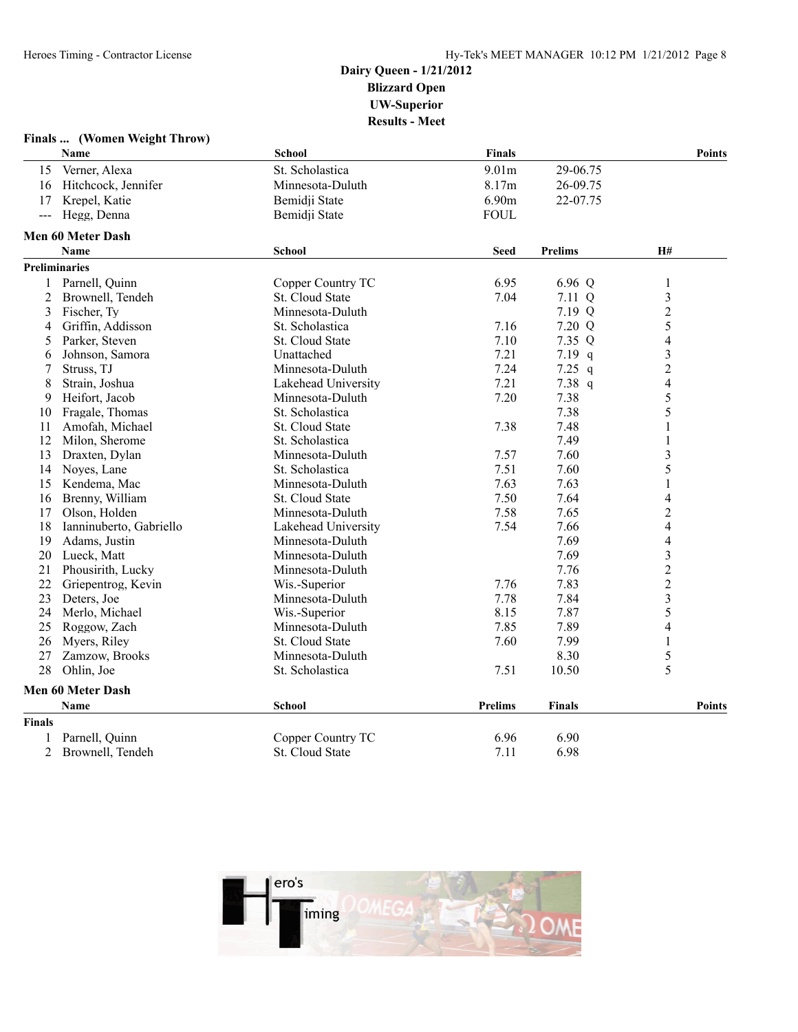|                     | Finals  (Women Weight Throw) |                     |                |                |                         |
|---------------------|------------------------------|---------------------|----------------|----------------|-------------------------|
|                     | Name                         | <b>School</b>       | <b>Finals</b>  |                | <b>Points</b>           |
| 15                  | Verner, Alexa                | St. Scholastica     | 9.01m          | 29-06.75       |                         |
| 16                  | Hitchcock, Jennifer          | Minnesota-Duluth    | 8.17m          | 26-09.75       |                         |
| 17                  | Krepel, Katie                | Bemidji State       | 6.90m          | 22-07.75       |                         |
| $\qquad \qquad - -$ | Hegg, Denna                  | Bemidji State       | <b>FOUL</b>    |                |                         |
|                     | <b>Men 60 Meter Dash</b>     |                     |                |                |                         |
|                     | <b>Name</b>                  | <b>School</b>       | <b>Seed</b>    | <b>Prelims</b> | <b>H#</b>               |
|                     | <b>Preliminaries</b>         |                     |                |                |                         |
| $\mathbf{1}$        | Parnell, Quinn               | Copper Country TC   | 6.95           | 6.96 Q         | $\mathbf{1}$            |
| 2                   | Brownell, Tendeh             | St. Cloud State     | 7.04           | 7.11 Q         | $\mathfrak{Z}$          |
| 3                   | Fischer, Ty                  | Minnesota-Duluth    |                | 7.19 Q         | $\boldsymbol{2}$        |
| 4                   | Griffin, Addisson            | St. Scholastica     | 7.16           | 7.20 Q         | 5                       |
| 5                   | Parker, Steven               | St. Cloud State     | 7.10           | 7.35 Q         | 4                       |
| 6                   | Johnson, Samora              | Unattached          | 7.21           | $7.19$ q       | 3                       |
| 7                   | Struss, TJ                   | Minnesota-Duluth    | 7.24           | $7.25$ q       | $\overline{c}$          |
| 8                   | Strain, Joshua               | Lakehead University | 7.21           | 7.38 q         | $\overline{4}$          |
| 9                   | Heifort, Jacob               | Minnesota-Duluth    | 7.20           | 7.38           | 5                       |
| 10                  | Fragale, Thomas              | St. Scholastica     |                | 7.38           | 5                       |
| 11                  | Amofah, Michael              | St. Cloud State     | 7.38           | 7.48           | 1                       |
| 12                  | Milon, Sherome               | St. Scholastica     |                | 7.49           | $\mathbf{1}$            |
| 13                  | Draxten, Dylan               | Minnesota-Duluth    | 7.57           | 7.60           | 3                       |
| 14                  | Noves, Lane                  | St. Scholastica     | 7.51           | 7.60           | 5                       |
| 15                  | Kendema, Mac                 | Minnesota-Duluth    | 7.63           | 7.63           | $\mathbf{1}$            |
|                     | 16 Brenny, William           | St. Cloud State     | 7.50           | 7.64           | 4                       |
| 17                  | Olson, Holden                | Minnesota-Duluth    | 7.58           | 7.65           | $\overline{c}$          |
| 18                  | Ianninuberto, Gabriello      | Lakehead University | 7.54           | 7.66           | 4                       |
| 19                  | Adams, Justin                | Minnesota-Duluth    |                | 7.69           | 4                       |
| 20                  | Lueck, Matt                  | Minnesota-Duluth    |                | 7.69           | $\overline{\mathbf{3}}$ |
| 21                  | Phousirith, Lucky            | Minnesota-Duluth    |                | 7.76           | $\overline{c}$          |
| 22                  | Griepentrog, Kevin           | Wis.-Superior       | 7.76           | 7.83           | $\overline{2}$          |
| 23                  | Deters, Joe                  | Minnesota-Duluth    | 7.78           | 7.84           | $\overline{\mathbf{3}}$ |
| 24                  | Merlo, Michael               | Wis.-Superior       | 8.15           | 7.87           | 5                       |
| 25                  | Roggow, Zach                 | Minnesota-Duluth    | 7.85           | 7.89           | $\overline{4}$          |
| 26                  | Myers, Riley                 | St. Cloud State     | 7.60           | 7.99           | $\mathbf{1}$            |
| 27                  | Zamzow, Brooks               | Minnesota-Duluth    |                | 8.30           | 5                       |
| 28                  | Ohlin, Joe                   | St. Scholastica     | 7.51           | 10.50          | 5                       |
|                     | Men 60 Meter Dash            |                     |                |                |                         |
|                     | <b>Name</b>                  | School              | <b>Prelims</b> | <b>Finals</b>  | <b>Points</b>           |
| <b>Finals</b>       |                              |                     |                |                |                         |
| 1                   | Parnell, Quinn               | Copper Country TC   | 6.96           | 6.90           |                         |
| $\overline{2}$      | Brownell, Tendeh             | St. Cloud State     | 7.11           | 6.98           |                         |

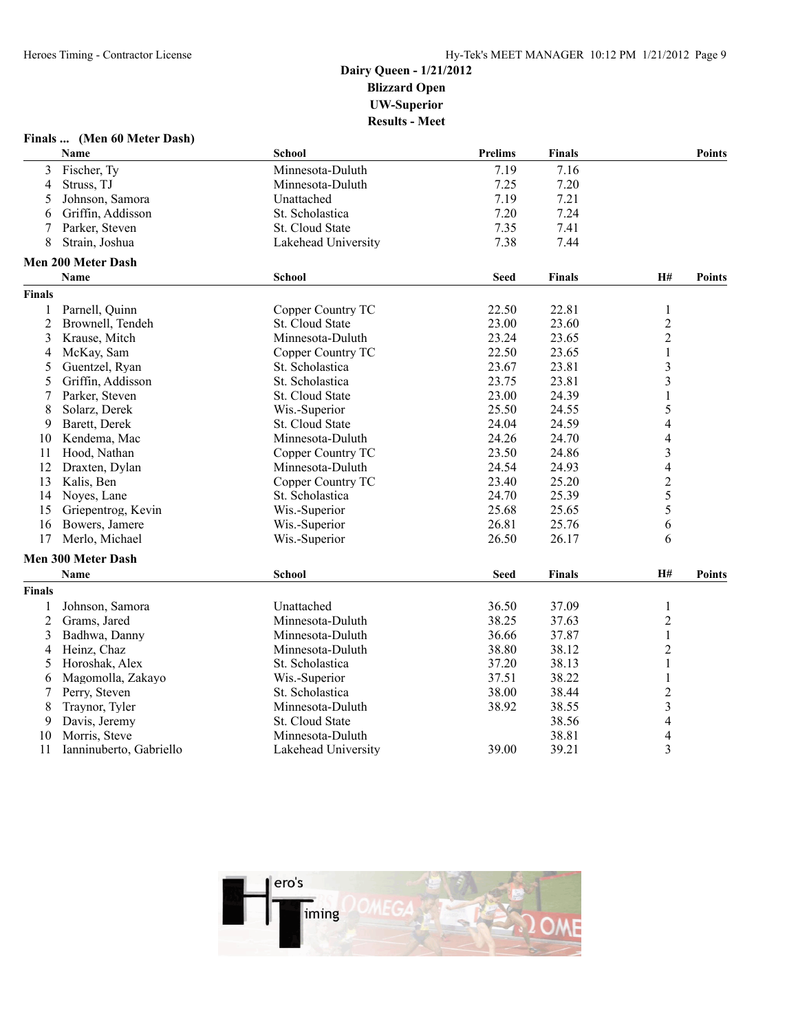| Finals |  |  | (Men 60 Meter Dash) |  |  |
|--------|--|--|---------------------|--|--|
|--------|--|--|---------------------|--|--|

|                | Name                      | <b>School</b>       | <b>Prelims</b> | <b>Finals</b> |                          | <b>Points</b> |
|----------------|---------------------------|---------------------|----------------|---------------|--------------------------|---------------|
| 3              | Fischer, Ty               | Minnesota-Duluth    | 7.19           | 7.16          |                          |               |
| 4              | Struss, TJ                | Minnesota-Duluth    | 7.25           | 7.20          |                          |               |
| 5              | Johnson, Samora           | Unattached          | 7.19           | 7.21          |                          |               |
| 6              | Griffin, Addisson         | St. Scholastica     | 7.20           | 7.24          |                          |               |
| 7              | Parker, Steven            | St. Cloud State     | 7.35           | 7.41          |                          |               |
| 8              | Strain, Joshua            | Lakehead University | 7.38           | 7.44          |                          |               |
|                | <b>Men 200 Meter Dash</b> |                     |                |               |                          |               |
|                | Name                      | <b>School</b>       | <b>Seed</b>    | <b>Finals</b> | <b>H#</b>                | <b>Points</b> |
| <b>Finals</b>  |                           |                     |                |               |                          |               |
| 1              | Parnell, Quinn            | Copper Country TC   | 22.50          | 22.81         | $\mathbf{1}$             |               |
| $\overline{2}$ | Brownell, Tendeh          | St. Cloud State     | 23.00          | 23.60         | $\overline{c}$           |               |
| 3              | Krause, Mitch             | Minnesota-Duluth    | 23.24          | 23.65         | $\overline{c}$           |               |
| 4              | McKay, Sam                | Copper Country TC   | 22.50          | 23.65         | $\mathbf{1}$             |               |
| 5              | Guentzel, Ryan            | St. Scholastica     | 23.67          | 23.81         | $\overline{\mathbf{3}}$  |               |
| 5              | Griffin, Addisson         | St. Scholastica     | 23.75          | 23.81         | 3                        |               |
| 7              | Parker, Steven            | St. Cloud State     | 23.00          | 24.39         | 1                        |               |
| 8              | Solarz, Derek             | Wis.-Superior       | 25.50          | 24.55         | 5                        |               |
| 9              | Barett, Derek             | St. Cloud State     | 24.04          | 24.59         | 4                        |               |
| 10             | Kendema, Mac              | Minnesota-Duluth    | 24.26          | 24.70         | 4                        |               |
| 11             | Hood. Nathan              | Copper Country TC   | 23.50          | 24.86         | 3                        |               |
| 12             | Draxten, Dylan            | Minnesota-Duluth    | 24.54          | 24.93         | $\overline{4}$           |               |
| 13             | Kalis, Ben                | Copper Country TC   | 23.40          | 25.20         | $\overline{c}$           |               |
| 14             | Noyes, Lane               | St. Scholastica     | 24.70          | 25.39         | 5                        |               |
| 15             | Griepentrog, Kevin        | Wis.-Superior       | 25.68          | 25.65         | 5                        |               |
| 16             | Bowers, Jamere            | Wis.-Superior       | 26.81          | 25.76         | 6                        |               |
| 17             | Merlo, Michael            | Wis.-Superior       | 26.50          | 26.17         | 6                        |               |
|                | <b>Men 300 Meter Dash</b> |                     |                |               |                          |               |
|                | <b>Name</b>               | <b>School</b>       | <b>Seed</b>    | <b>Finals</b> | H#                       | <b>Points</b> |
| <b>Finals</b>  |                           |                     |                |               |                          |               |
| 1              | Johnson, Samora           | Unattached          | 36.50          | 37.09         | 1                        |               |
| $\overline{c}$ | Grams, Jared              | Minnesota-Duluth    | 38.25          | 37.63         | $\overline{2}$           |               |
| 3              | Badhwa, Danny             | Minnesota-Duluth    | 36.66          | 37.87         | $\,1$                    |               |
| 4              | Heinz, Chaz               | Minnesota-Duluth    | 38.80          | 38.12         | $\overline{2}$           |               |
| 5              | Horoshak, Alex            | St. Scholastica     | 37.20          | 38.13         | $\mathbf{1}$             |               |
| 6              | Magomolla, Zakayo         | Wis.-Superior       | 37.51          | 38.22         | $\mathbf{1}$             |               |
| 7              | Perry, Steven             | St. Scholastica     | 38.00          | 38.44         | $\overline{c}$           |               |
| 8              | Traynor, Tyler            | Minnesota-Duluth    | 38.92          | 38.55         | 3                        |               |
| 9              | Davis, Jeremy             | St. Cloud State     |                | 38.56         | $\overline{\mathcal{A}}$ |               |
| 10             | Morris, Steve             | Minnesota-Duluth    |                | 38.81         | 4                        |               |
| 11             | Ianninuberto, Gabriello   | Lakehead University | 39.00          | 39.21         | 3                        |               |

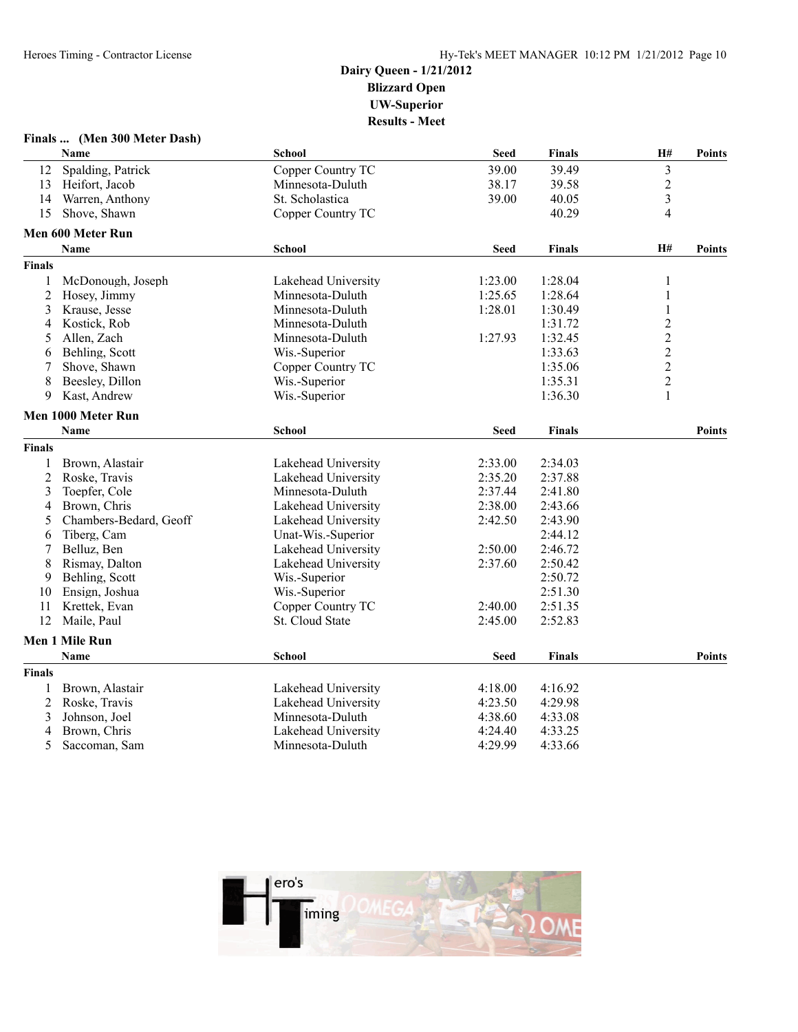|               | Finals  (Men 300 Meter Dash) |                     |             |               |                         |               |
|---------------|------------------------------|---------------------|-------------|---------------|-------------------------|---------------|
|               | Name                         | School              | <b>Seed</b> | <b>Finals</b> | H#                      | <b>Points</b> |
| 12            | Spalding, Patrick            | Copper Country TC   | 39.00       | 39.49         | $\overline{\mathbf{3}}$ |               |
| 13            | Heifort, Jacob               | Minnesota-Duluth    | 38.17       | 39.58         | $\overline{\mathbf{c}}$ |               |
| 14            | Warren, Anthony              | St. Scholastica     | 39.00       | 40.05         | 3                       |               |
| 15            | Shove, Shawn                 | Copper Country TC   |             | 40.29         | 4                       |               |
|               | Men 600 Meter Run            |                     |             |               |                         |               |
|               | <b>Name</b>                  | School              | <b>Seed</b> | <b>Finals</b> | H#                      | <b>Points</b> |
| <b>Finals</b> |                              |                     |             |               |                         |               |
| 1             | McDonough, Joseph            | Lakehead University | 1:23.00     | 1:28.04       | 1                       |               |
| 2             | Hosey, Jimmy                 | Minnesota-Duluth    | 1:25.65     | 1:28.64       | 1                       |               |
| 3             | Krause, Jesse                | Minnesota-Duluth    | 1:28.01     | 1:30.49       | $\mathbf{1}$            |               |
| 4             | Kostick, Rob                 | Minnesota-Duluth    |             | 1:31.72       | $\overline{c}$          |               |
| 5             | Allen, Zach                  | Minnesota-Duluth    | 1:27.93     | 1:32.45       | $\overline{c}$          |               |
| 6             | Behling, Scott               | Wis.-Superior       |             | 1:33.63       | $\overline{c}$          |               |
| 7             | Shove, Shawn                 | Copper Country TC   |             | 1:35.06       | $\overline{c}$          |               |
| 8             | Beesley, Dillon              | Wis.-Superior       |             | 1:35.31       | $\overline{c}$          |               |
| 9             | Kast, Andrew                 | Wis.-Superior       |             | 1:36.30       | $\mathbf{1}$            |               |
|               | Men 1000 Meter Run           |                     |             |               |                         |               |
|               | <b>Name</b>                  | <b>School</b>       | <b>Seed</b> | <b>Finals</b> |                         | <b>Points</b> |
| <b>Finals</b> |                              |                     |             |               |                         |               |
| 1             | Brown, Alastair              | Lakehead University | 2:33.00     | 2:34.03       |                         |               |
| 2             | Roske, Travis                | Lakehead University | 2:35.20     | 2:37.88       |                         |               |
| 3             | Toepfer, Cole                | Minnesota-Duluth    | 2:37.44     | 2:41.80       |                         |               |
| 4             | Brown, Chris                 | Lakehead University | 2:38.00     | 2:43.66       |                         |               |
| 5             | Chambers-Bedard, Geoff       | Lakehead University | 2:42.50     | 2:43.90       |                         |               |
| 6             | Tiberg, Cam                  | Unat-Wis.-Superior  |             | 2:44.12       |                         |               |
| 7             | Belluz, Ben                  | Lakehead University | 2:50.00     | 2:46.72       |                         |               |
| 8             | Rismay, Dalton               | Lakehead University | 2:37.60     | 2:50.42       |                         |               |
| 9             | Behling, Scott               | Wis.-Superior       |             | 2:50.72       |                         |               |
| 10            | Ensign, Joshua               | Wis.-Superior       |             | 2:51.30       |                         |               |
| 11            | Krettek, Evan                | Copper Country TC   | 2:40.00     | 2:51.35       |                         |               |
| 12            | Maile, Paul                  | St. Cloud State     | 2:45.00     | 2:52.83       |                         |               |
|               | Men 1 Mile Run               |                     |             |               |                         |               |
|               | <b>Name</b>                  | <b>School</b>       | <b>Seed</b> | <b>Finals</b> |                         | <b>Points</b> |
| <b>Finals</b> |                              |                     |             |               |                         |               |
| 1             | Brown, Alastair              | Lakehead University | 4:18.00     | 4:16.92       |                         |               |
| 2             | Roske, Travis                | Lakehead University | 4:23.50     | 4:29.98       |                         |               |
| 3             | Johnson, Joel                | Minnesota-Duluth    | 4:38.60     | 4:33.08       |                         |               |
| 4             | Brown, Chris                 | Lakehead University | 4:24.40     | 4:33.25       |                         |               |
| 5             | Saccoman, Sam                | Minnesota-Duluth    | 4:29.99     | 4:33.66       |                         |               |

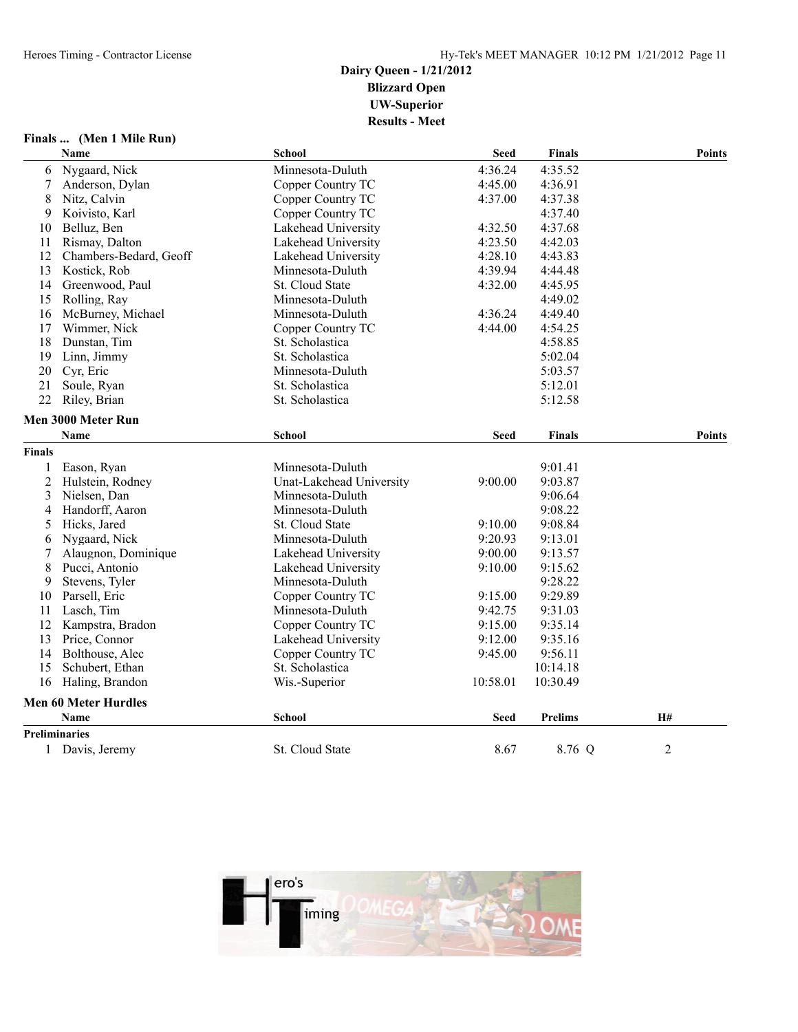| Finals | (Men 1 Mile Run) |
|--------|------------------|
|--------|------------------|

| <b>School</b><br>Name                                          | <b>Seed</b> | <b>Finals</b>  | <b>Points</b> |
|----------------------------------------------------------------|-------------|----------------|---------------|
| Nygaard, Nick<br>Minnesota-Duluth<br>6                         | 4:36.24     | 4:35.52        |               |
| 7<br>Anderson, Dylan<br>Copper Country TC                      | 4:45.00     | 4:36.91        |               |
| 8<br>Nitz, Calvin<br>Copper Country TC                         | 4:37.00     | 4:37.38        |               |
| Koivisto, Karl<br>Copper Country TC<br>9                       |             | 4:37.40        |               |
| Belluz, Ben<br>Lakehead University<br>10                       | 4:32.50     | 4:37.68        |               |
| 11<br>Rismay, Dalton<br>Lakehead University                    | 4:23.50     | 4:42.03        |               |
| Chambers-Bedard, Geoff<br>12<br>Lakehead University            | 4:28.10     | 4:43.83        |               |
| Kostick, Rob<br>Minnesota-Duluth<br>13                         | 4:39.94     | 4:44.48        |               |
| 14<br>Greenwood, Paul<br>St. Cloud State                       | 4:32.00     | 4:45.95        |               |
| Minnesota-Duluth<br>15<br>Rolling, Ray                         |             | 4:49.02        |               |
| McBurney, Michael<br>Minnesota-Duluth<br>16                    | 4:36.24     | 4:49.40        |               |
| Wimmer, Nick<br>17<br>Copper Country TC                        | 4:44.00     | 4:54.25        |               |
| St. Scholastica<br>18<br>Dunstan, Tim                          |             | 4:58.85        |               |
| Linn, Jimmy<br>St. Scholastica<br>19                           |             | 5:02.04        |               |
| 20<br>Cyr, Eric<br>Minnesota-Duluth                            |             | 5:03.57        |               |
| 21<br>Soule, Ryan<br>St. Scholastica                           |             | 5:12.01        |               |
| 22<br>Riley, Brian<br>St. Scholastica                          |             | 5:12.58        |               |
| Men 3000 Meter Run                                             |             |                |               |
| <b>Name</b><br>School                                          | <b>Seed</b> | <b>Finals</b>  | <b>Points</b> |
| <b>Finals</b>                                                  |             |                |               |
| Eason, Ryan<br>Minnesota-Duluth<br>1                           |             | 9:01.41        |               |
| $\overline{2}$<br>Hulstein, Rodney<br>Unat-Lakehead University | 9:00.00     | 9:03.87        |               |
| 3<br>Nielsen, Dan<br>Minnesota-Duluth                          |             | 9:06.64        |               |
| Handorff, Aaron<br>Minnesota-Duluth<br>4                       |             | 9:08.22        |               |
| Hicks, Jared<br>St. Cloud State<br>5                           | 9:10.00     | 9:08.84        |               |
| Nygaard, Nick<br>Minnesota-Duluth<br>6                         | 9:20.93     | 9:13.01        |               |
| Alaugnon, Dominique<br>Lakehead University<br>7                | 9:00.00     | 9:13.57        |               |
| 8<br>Pucci, Antonio<br>Lakehead University                     | 9:10.00     | 9:15.62        |               |
| Stevens, Tyler<br>Minnesota-Duluth<br>9                        |             | 9:28.22        |               |
| Parsell, Eric<br>Copper Country TC<br>10                       | 9:15.00     | 9:29.89        |               |
| 11<br>Lasch, Tim<br>Minnesota-Duluth                           | 9:42.75     | 9:31.03        |               |
| 12<br>Copper Country TC<br>Kampstra, Bradon                    | 9:15.00     | 9:35.14        |               |
| 13<br>Price, Connor<br>Lakehead University                     | 9:12.00     | 9:35.16        |               |
| 14<br>Bolthouse, Alec<br>Copper Country TC                     | 9:45.00     | 9:56.11        |               |
| 15<br>Schubert, Ethan<br>St. Scholastica                       |             | 10:14.18       |               |
| Haling, Brandon<br>16<br>Wis.-Superior                         | 10:58.01    | 10:30.49       |               |
| <b>Men 60 Meter Hurdles</b>                                    |             |                |               |
| <b>School</b><br>Name                                          | <b>Seed</b> | <b>Prelims</b> | H#            |
| <b>Preliminaries</b>                                           |             |                |               |
| St. Cloud State<br>Davis, Jeremy                               | 8.67        | 8.76 Q         | 2             |

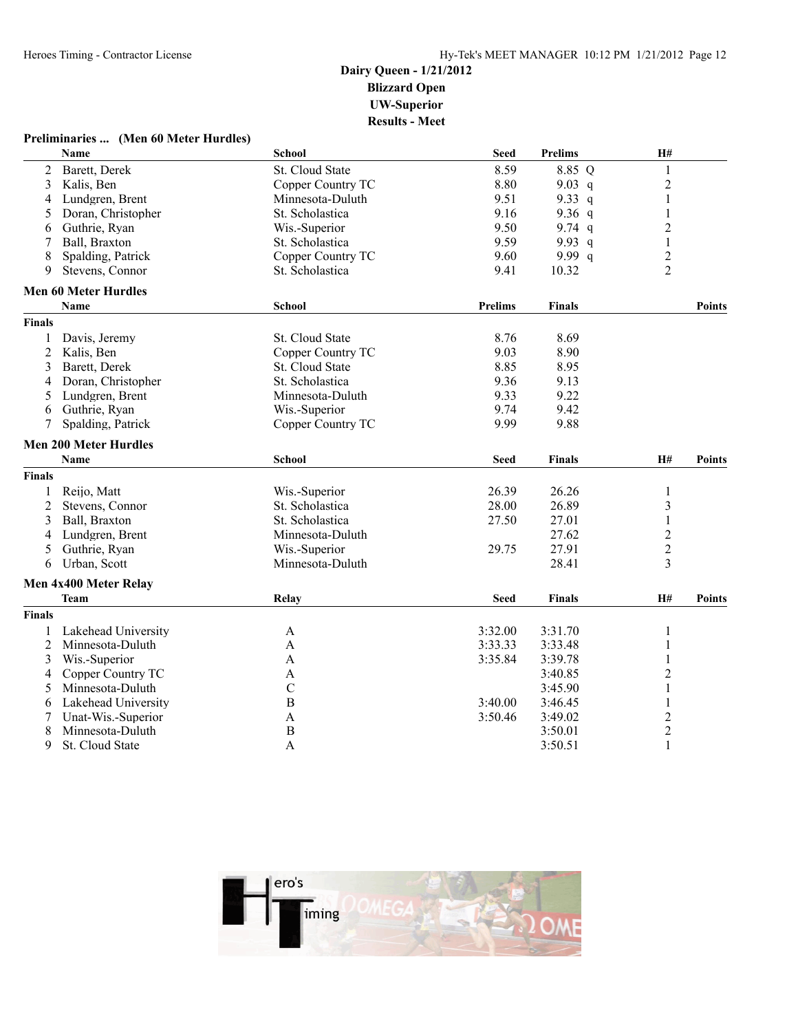### **Preliminaries ... (Men 60 Meter Hurdles)**

|               | Name                         | School                 | <b>Seed</b>    | <b>Prelims</b> | H#             |               |
|---------------|------------------------------|------------------------|----------------|----------------|----------------|---------------|
| 2             | Barett, Derek                | St. Cloud State        | 8.59           | 8.85 Q         | 1              |               |
| 3             | Kalis, Ben                   | Copper Country TC      | 8.80           | 9.03 q         | $\overline{c}$ |               |
| 4             | Lundgren, Brent              | Minnesota-Duluth       | 9.51           | 9.33 q         | 1              |               |
| 5             | Doran, Christopher           | St. Scholastica        | 9.16           | 9.36 $q$       | $\mathbf{1}$   |               |
| 6             | Guthrie, Ryan                | Wis.-Superior          | 9.50           | 9.74 $q$       | $\overline{c}$ |               |
| 7             | Ball, Braxton                | St. Scholastica        | 9.59           | 9.93 $q$       | $\mathbf{1}$   |               |
| 8             | Spalding, Patrick            | Copper Country TC      | 9.60           | 9.99q          | $\overline{c}$ |               |
| 9             | Stevens, Connor              | St. Scholastica        | 9.41           | 10.32          | $\overline{2}$ |               |
|               | <b>Men 60 Meter Hurdles</b>  |                        |                |                |                |               |
|               | <b>Name</b>                  | <b>School</b>          | <b>Prelims</b> | <b>Finals</b>  |                | <b>Points</b> |
| <b>Finals</b> |                              |                        |                |                |                |               |
| 1             | Davis, Jeremy                | <b>St. Cloud State</b> | 8.76           | 8.69           |                |               |
| 2             | Kalis, Ben                   | Copper Country TC      | 9.03           | 8.90           |                |               |
| 3             | Barett, Derek                | St. Cloud State        | 8.85           | 8.95           |                |               |
| 4             | Doran, Christopher           | St. Scholastica        | 9.36           | 9.13           |                |               |
| 5             | Lundgren, Brent              | Minnesota-Duluth       | 9.33           | 9.22           |                |               |
| 6             | Guthrie, Ryan                | Wis.-Superior          | 9.74           | 9.42           |                |               |
| 7             | Spalding, Patrick            | Copper Country TC      | 9.99           | 9.88           |                |               |
|               | <b>Men 200 Meter Hurdles</b> |                        |                |                |                |               |
|               | <b>Name</b>                  | <b>School</b>          | <b>Seed</b>    | <b>Finals</b>  | H#             | <b>Points</b> |
| <b>Finals</b> |                              |                        |                |                |                |               |
| 1             | Reijo, Matt                  | Wis.-Superior          | 26.39          | 26.26          | 1              |               |
| 2             | Stevens, Connor              | St. Scholastica        | 28.00          | 26.89          | 3              |               |
| 3             | Ball, Braxton                | St. Scholastica        | 27.50          | 27.01          | $\mathbf{1}$   |               |
| 4             | Lundgren, Brent              | Minnesota-Duluth       |                | 27.62          | $\overline{c}$ |               |
| 5             | Guthrie, Ryan                | Wis.-Superior          | 29.75          | 27.91          | $\overline{2}$ |               |
| 6             | Urban, Scott                 | Minnesota-Duluth       |                | 28.41          | 3              |               |
|               | Men 4x400 Meter Relay        |                        |                |                |                |               |
|               | <b>Team</b>                  | Relay                  | <b>Seed</b>    | Finals         | H#             | <b>Points</b> |
|               |                              |                        |                |                |                |               |
| <b>Finals</b> |                              |                        |                |                |                |               |
|               | Lakehead University          | A                      | 3:32.00        | 3:31.70        | 1              |               |
| 2             | Minnesota-Duluth             | A                      | 3:33.33        | 3:33.48        | 1              |               |
| 3             | Wis.-Superior                | A                      | 3:35.84        | 3:39.78        | 1              |               |
| 4             | Copper Country TC            | A                      |                | 3:40.85        | $\overline{c}$ |               |
| 5             | Minnesota-Duluth             | $\mathcal{C}$          |                | 3:45.90        | $\mathbf{1}$   |               |
| 6             | Lakehead University          | $\boldsymbol{B}$       | 3:40.00        | 3:46.45        | 1              |               |
| 7             | Unat-Wis.-Superior           | $\mathbf{A}$           | 3:50.46        | 3:49.02        | $\overline{c}$ |               |
| 8             | Minnesota-Duluth             | $\boldsymbol{B}$       |                | 3:50.01        | $\overline{c}$ |               |
| 9             | St. Cloud State              | A                      |                | 3:50.51        | $\mathbf{1}$   |               |

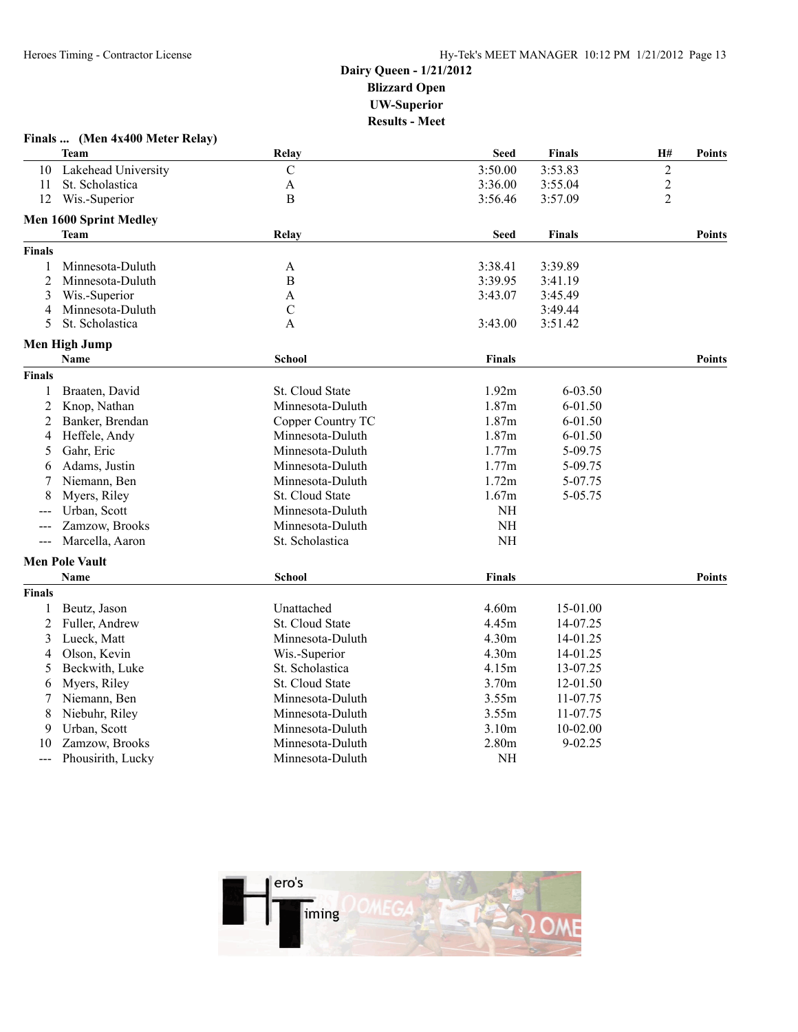|                | Finals  (Men 4x400 Meter Relay) |                        |                   |               |                |               |
|----------------|---------------------------------|------------------------|-------------------|---------------|----------------|---------------|
|                | Team                            | Relay                  | <b>Seed</b>       | Finals        | H#             | <b>Points</b> |
| 10             | Lakehead University             | $\mathcal{C}$          | 3:50.00           | 3:53.83       | $\overline{2}$ |               |
| 11             | St. Scholastica                 | A                      | 3:36.00           | 3:55.04       | $\overline{c}$ |               |
| 12             | Wis.-Superior                   | B                      | 3:56.46           | 3:57.09       | $\overline{2}$ |               |
|                | Men 1600 Sprint Medley          |                        |                   |               |                |               |
|                | <b>Team</b>                     | Relay                  | <b>Seed</b>       | <b>Finals</b> |                | <b>Points</b> |
| Finals         |                                 |                        |                   |               |                |               |
| 1              | Minnesota-Duluth                | A                      | 3:38.41           | 3:39.89       |                |               |
| $\overline{2}$ | Minnesota-Duluth                | B                      | 3:39.95           | 3:41.19       |                |               |
| 3              | Wis.-Superior                   | A                      | 3:43.07           | 3:45.49       |                |               |
| 4              | Minnesota-Duluth                | $\mathcal{C}$          |                   | 3:49.44       |                |               |
| 5              | St. Scholastica                 | A                      | 3:43.00           | 3:51.42       |                |               |
|                | <b>Men High Jump</b>            |                        |                   |               |                |               |
|                | Name                            | <b>School</b>          | <b>Finals</b>     |               |                | <b>Points</b> |
| Finals         |                                 |                        |                   |               |                |               |
| 1              | Braaten, David                  | St. Cloud State        | 1.92m             | 6-03.50       |                |               |
| 2              | Knop, Nathan                    | Minnesota-Duluth       | 1.87m             | 6-01.50       |                |               |
| 2              | Banker, Brendan                 | Copper Country TC      | 1.87m             | 6-01.50       |                |               |
| 4              | Heffele, Andy                   | Minnesota-Duluth       | 1.87m             | 6-01.50       |                |               |
| 5              | Gahr, Eric                      | Minnesota-Duluth       | 1.77m             | 5-09.75       |                |               |
| 6              | Adams, Justin                   | Minnesota-Duluth       | 1.77m             | 5-09.75       |                |               |
| 7              | Niemann, Ben                    | Minnesota-Duluth       | 1.72m             | 5-07.75       |                |               |
| 8              | Myers, Riley                    | St. Cloud State        | 1.67m             | 5-05.75       |                |               |
|                | Urban, Scott                    | Minnesota-Duluth       | $NH$              |               |                |               |
| ---            | Zamzow, Brooks                  | Minnesota-Duluth       | $\rm{NH}$         |               |                |               |
| $---$          | Marcella, Aaron                 | St. Scholastica        | $\rm{NH}$         |               |                |               |
|                | <b>Men Pole Vault</b>           |                        |                   |               |                |               |
|                | <b>Name</b>                     | School                 | Finals            |               |                | <b>Points</b> |
| Finals         |                                 |                        |                   |               |                |               |
| 1              | Beutz, Jason                    | Unattached             | 4.60m             | 15-01.00      |                |               |
| 2              | Fuller, Andrew                  | St. Cloud State        | 4.45m             | 14-07.25      |                |               |
| 3              | Lueck, Matt                     | Minnesota-Duluth       | 4.30m             | 14-01.25      |                |               |
| 4              | Olson, Kevin                    | Wis.-Superior          | 4.30 <sub>m</sub> | 14-01.25      |                |               |
| 5              | Beckwith, Luke                  | St. Scholastica        | 4.15m             | 13-07.25      |                |               |
| 6              | Myers, Riley                    | <b>St. Cloud State</b> | 3.70m             | 12-01.50      |                |               |
| 7              | Niemann, Ben                    | Minnesota-Duluth       | 3.55m             | 11-07.75      |                |               |
| 8              | Niebuhr, Riley                  | Minnesota-Duluth       | 3.55m             | 11-07.75      |                |               |
| 9              | Urban, Scott                    | Minnesota-Duluth       | 3.10m             | $10-02.00$    |                |               |
| 10             | Zamzow, Brooks                  | Minnesota-Duluth       | 2.80m             | $9 - 02.25$   |                |               |
| $---$          | Phousirith, Lucky               | Minnesota-Duluth       | NH                |               |                |               |
|                |                                 |                        |                   |               |                |               |

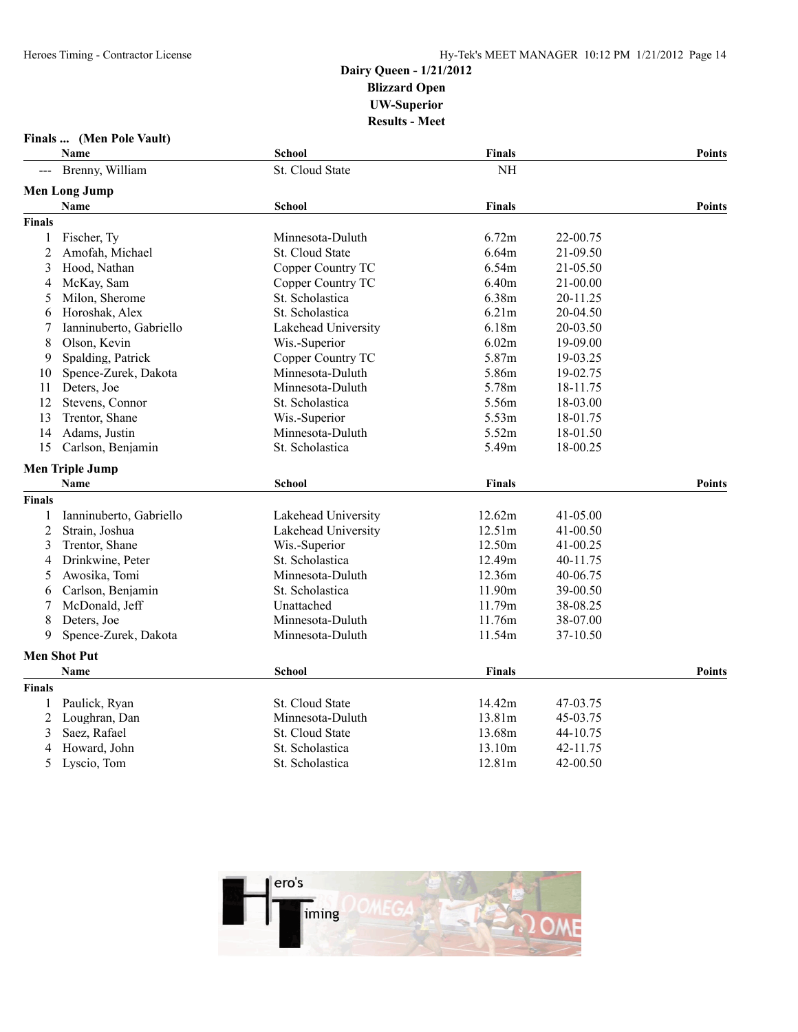### **Finals ... (Men Pole Vault)**

|                | Name                    | <b>School</b>       | <b>Finals</b> |              | <b>Points</b> |
|----------------|-------------------------|---------------------|---------------|--------------|---------------|
|                | Brenny, William         | St. Cloud State     | <b>NH</b>     |              |               |
|                | <b>Men Long Jump</b>    |                     |               |              |               |
|                | Name                    | <b>School</b>       | <b>Finals</b> |              | <b>Points</b> |
| <b>Finals</b>  |                         |                     |               |              |               |
| 1              | Fischer, Ty             | Minnesota-Duluth    | 6.72m         | 22-00.75     |               |
| $\overline{2}$ | Amofah, Michael         | St. Cloud State     | 6.64m         | 21-09.50     |               |
| 3              | Hood, Nathan            | Copper Country TC   | 6.54m         | 21-05.50     |               |
| 4              | McKay, Sam              | Copper Country TC   | 6.40m         | 21-00.00     |               |
| 5              | Milon, Sherome          | St. Scholastica     | 6.38m         | 20-11.25     |               |
| 6              | Horoshak, Alex          | St. Scholastica     | 6.21m         | 20-04.50     |               |
| 7              | Ianninuberto, Gabriello | Lakehead University | 6.18m         | 20-03.50     |               |
| 8              | Olson, Kevin            | Wis.-Superior       | 6.02m         | 19-09.00     |               |
| 9              | Spalding, Patrick       | Copper Country TC   | 5.87m         | 19-03.25     |               |
| 10             | Spence-Zurek, Dakota    | Minnesota-Duluth    | 5.86m         | 19-02.75     |               |
| 11             | Deters, Joe             | Minnesota-Duluth    | 5.78m         | 18-11.75     |               |
| 12             | Stevens, Connor         | St. Scholastica     | 5.56m         | 18-03.00     |               |
| 13             | Trentor, Shane          | Wis.-Superior       | 5.53m         | 18-01.75     |               |
| 14             | Adams, Justin           | Minnesota-Duluth    | 5.52m         | 18-01.50     |               |
| 15             | Carlson, Benjamin       | St. Scholastica     | 5.49m         | 18-00.25     |               |
|                | <b>Men Triple Jump</b>  |                     |               |              |               |
|                | Name                    | School              | <b>Finals</b> |              | <b>Points</b> |
| Finals         |                         |                     |               |              |               |
|                | Ianninuberto, Gabriello | Lakehead University | 12.62m        | $41 - 05.00$ |               |
| $\overline{2}$ | Strain, Joshua          | Lakehead University | 12.51m        | 41-00.50     |               |
| 3              | Trentor, Shane          | Wis.-Superior       | 12.50m        | 41-00.25     |               |
| 4              | Drinkwine, Peter        | St. Scholastica     | 12.49m        | 40-11.75     |               |
| 5              | Awosika, Tomi           | Minnesota-Duluth    | 12.36m        | 40-06.75     |               |
| 6              | Carlson, Benjamin       | St. Scholastica     | 11.90m        | 39-00.50     |               |
| 7              | McDonald, Jeff          | Unattached          | 11.79m        | 38-08.25     |               |
| 8              | Deters, Joe             | Minnesota-Duluth    | 11.76m        | 38-07.00     |               |
| 9              | Spence-Zurek, Dakota    | Minnesota-Duluth    | 11.54m        | 37-10.50     |               |
|                | <b>Men Shot Put</b>     |                     |               |              |               |
|                | <b>Name</b>             | <b>School</b>       | <b>Finals</b> |              | <b>Points</b> |
| <b>Finals</b>  |                         |                     |               |              |               |
| 1              | Paulick, Ryan           | St. Cloud State     | 14.42m        | 47-03.75     |               |
| 2              | Loughran, Dan           | Minnesota-Duluth    | 13.81m        | 45-03.75     |               |
| 3              | Saez, Rafael            | St. Cloud State     | 13.68m        | 44-10.75     |               |
| 4              | Howard, John            | St. Scholastica     | 13.10m        | 42-11.75     |               |
| 5              | Lyscio, Tom             | St. Scholastica     | 12.81m        | 42-00.50     |               |